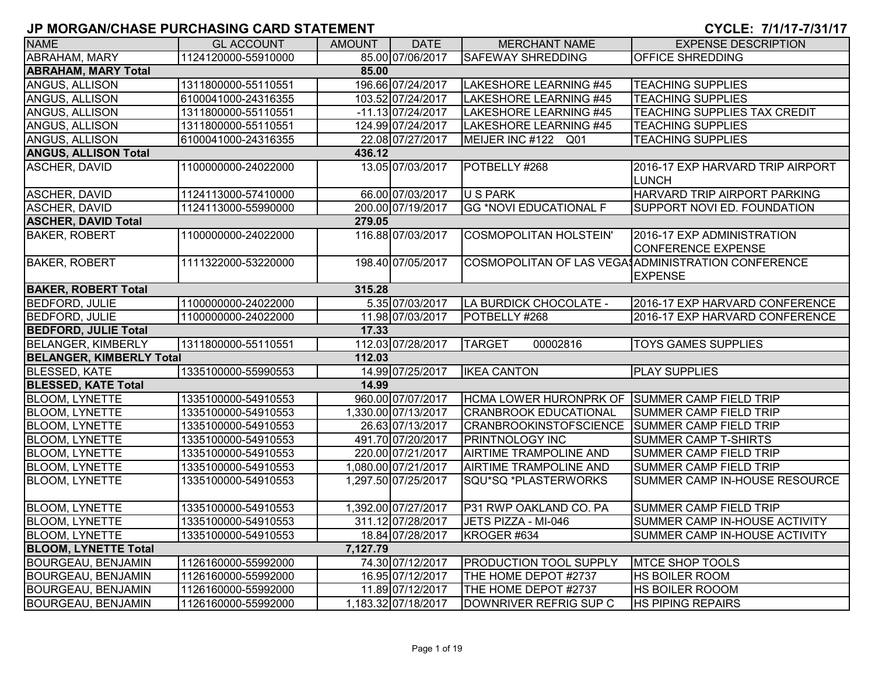| <b>NAME</b>                     | <b>GL ACCOUNT</b>   | AMOUNT   | <b>DATE</b>         | <b>MERCHANT NAME</b>                          | <b>EXPENSE DESCRIPTION</b>                                           |
|---------------------------------|---------------------|----------|---------------------|-----------------------------------------------|----------------------------------------------------------------------|
| <b>ABRAHAM, MARY</b>            | 1124120000-55910000 |          | 85.00 07/06/2017    | <b>SAFEWAY SHREDDING</b>                      | <b>OFFICE SHREDDING</b>                                              |
| <b>ABRAHAM, MARY Total</b>      |                     | 85.00    |                     |                                               |                                                                      |
| ANGUS, ALLISON                  | 1311800000-55110551 |          | 196.66 07/24/2017   | LAKESHORE LEARNING #45                        | <b>TEACHING SUPPLIES</b>                                             |
| ANGUS, ALLISON                  | 6100041000-24316355 |          | 103.52 07/24/2017   | LAKESHORE LEARNING #45                        | <b>TEACHING SUPPLIES</b>                                             |
| ANGUS, ALLISON                  | 1311800000-55110551 |          | $-11.13$ 07/24/2017 | <b>LAKESHORE LEARNING #45</b>                 | <b>TEACHING SUPPLIES TAX CREDIT</b>                                  |
| <b>ANGUS, ALLISON</b>           | 1311800000-55110551 |          | 124.99 07/24/2017   | LAKESHORE LEARNING #45                        | <b>TEACHING SUPPLIES</b>                                             |
| ANGUS, ALLISON                  | 6100041000-24316355 |          | 22.08 07/27/2017    | MEIJER INC #122 Q01                           | <b>TEACHING SUPPLIES</b>                                             |
| <b>ANGUS, ALLISON Total</b>     |                     | 436.12   |                     |                                               |                                                                      |
| ASCHER, DAVID                   | 1100000000-24022000 |          | 13.05 07/03/2017    | POTBELLY #268                                 | 2016-17 EXP HARVARD TRIP AIRPORT<br><b>LUNCH</b>                     |
| <b>ASCHER, DAVID</b>            | 1124113000-57410000 |          | 66.00 07/03/2017    | <b>U S PARK</b>                               | HARVARD TRIP AIRPORT PARKING                                         |
| <b>ASCHER, DAVID</b>            | 1124113000-55990000 |          | 200.00 07/19/2017   | <b>GG *NOVI EDUCATIONAL F</b>                 | SUPPORT NOVI ED. FOUNDATION                                          |
| <b>ASCHER, DAVID Total</b>      |                     | 279.05   |                     |                                               |                                                                      |
| <b>BAKER, ROBERT</b>            | 1100000000-24022000 |          | 116.88 07/03/2017   | <b>COSMOPOLITAN HOLSTEIN'</b>                 | 2016-17 EXP ADMINISTRATION<br><b>CONFERENCE EXPENSE</b>              |
| <b>BAKER, ROBERT</b>            | 1111322000-53220000 |          | 198.40 07/05/2017   |                                               | COSMOPOLITAN OF LAS VEGA ADMINISTRATION CONFERENCE<br><b>EXPENSE</b> |
| <b>BAKER, ROBERT Total</b>      |                     | 315.28   |                     |                                               |                                                                      |
| <b>BEDFORD, JULIE</b>           | 1100000000-24022000 |          | 5.35 07/03/2017     | LA BURDICK CHOCOLATE -                        | 2016-17 EXP HARVARD CONFERENCE                                       |
| <b>BEDFORD, JULIE</b>           | 1100000000-24022000 |          | 11.98 07/03/2017    | POTBELLY #268                                 | 2016-17 EXP HARVARD CONFERENCE                                       |
| <b>BEDFORD, JULIE Total</b>     |                     | 17.33    |                     |                                               |                                                                      |
| <b>BELANGER, KIMBERLY</b>       | 1311800000-55110551 |          | 112.03 07/28/2017   | <b>TARGET</b><br>00002816                     | <b>TOYS GAMES SUPPLIES</b>                                           |
| <b>BELANGER, KIMBERLY Total</b> |                     | 112.03   |                     |                                               |                                                                      |
| <b>BLESSED, KATE</b>            | 1335100000-55990553 |          | 14.99 07/25/2017    | <b>IKEA CANTON</b>                            | <b>PLAY SUPPLIES</b>                                                 |
| <b>BLESSED, KATE Total</b>      |                     | 14.99    |                     |                                               |                                                                      |
| <b>BLOOM, LYNETTE</b>           | 1335100000-54910553 |          | 960.00 07/07/2017   | HCMA LOWER HURONPRK OF SUMMER CAMP FIELD TRIP |                                                                      |
| <b>BLOOM, LYNETTE</b>           | 1335100000-54910553 |          | 1,330.00 07/13/2017 | <b>CRANBROOK EDUCATIONAL</b>                  | <b>SUMMER CAMP FIELD TRIP</b>                                        |
| <b>BLOOM, LYNETTE</b>           | 1335100000-54910553 |          | 26.63 07/13/2017    | <b>CRANBROOKINSTOFSCIENCE</b>                 | <b>SUMMER CAMP FIELD TRIP</b>                                        |
| <b>BLOOM, LYNETTE</b>           | 1335100000-54910553 |          | 491.70 07/20/2017   | <b>PRINTNOLOGY INC</b>                        | <b>SUMMER CAMP T-SHIRTS</b>                                          |
| <b>BLOOM, LYNETTE</b>           | 1335100000-54910553 |          | 220.00 07/21/2017   | <b>AIRTIME TRAMPOLINE AND</b>                 | SUMMER CAMP FIELD TRIP                                               |
| <b>BLOOM, LYNETTE</b>           | 1335100000-54910553 |          | 1,080.00 07/21/2017 | <b>AIRTIME TRAMPOLINE AND</b>                 | SUMMER CAMP FIELD TRIP                                               |
| <b>BLOOM, LYNETTE</b>           | 1335100000-54910553 |          | 1,297.50 07/25/2017 | SQU*SQ *PLASTERWORKS                          | SUMMER CAMP IN-HOUSE RESOURCE                                        |
| <b>BLOOM, LYNETTE</b>           | 1335100000-54910553 |          | 1,392.00 07/27/2017 | P31 RWP OAKLAND CO. PA                        | SUMMER CAMP FIELD TRIP                                               |
| <b>BLOOM, LYNETTE</b>           | 1335100000-54910553 |          | 311.12 07/28/2017   | JETS PIZZA - MI-046                           | SUMMER CAMP IN-HOUSE ACTIVITY                                        |
| BLOOM, LYNETTE                  | 1335100000-54910553 |          | 18.84 07/28/2017    | KROGER #634                                   | SUMMER CAMP IN-HOUSE ACTIVITY                                        |
| <b>BLOOM, LYNETTE Total</b>     |                     | 7,127.79 |                     |                                               |                                                                      |
| <b>BOURGEAU, BENJAMIN</b>       | 1126160000-55992000 |          | 74.30 07/12/2017    | <b>PRODUCTION TOOL SUPPLY</b>                 | <b>MTCE SHOP TOOLS</b>                                               |
| <b>BOURGEAU, BENJAMIN</b>       | 1126160000-55992000 |          | 16.95 07/12/2017    | THE HOME DEPOT #2737                          | HS BOILER ROOM                                                       |
| <b>BOURGEAU, BENJAMIN</b>       | 1126160000-55992000 |          | 11.89 07/12/2017    | THE HOME DEPOT #2737                          | HS BOILER ROOOM                                                      |
| <b>BOURGEAU, BENJAMIN</b>       | 1126160000-55992000 |          | 1,183.32 07/18/2017 | DOWNRIVER REFRIG SUP C                        | <b>HS PIPING REPAIRS</b>                                             |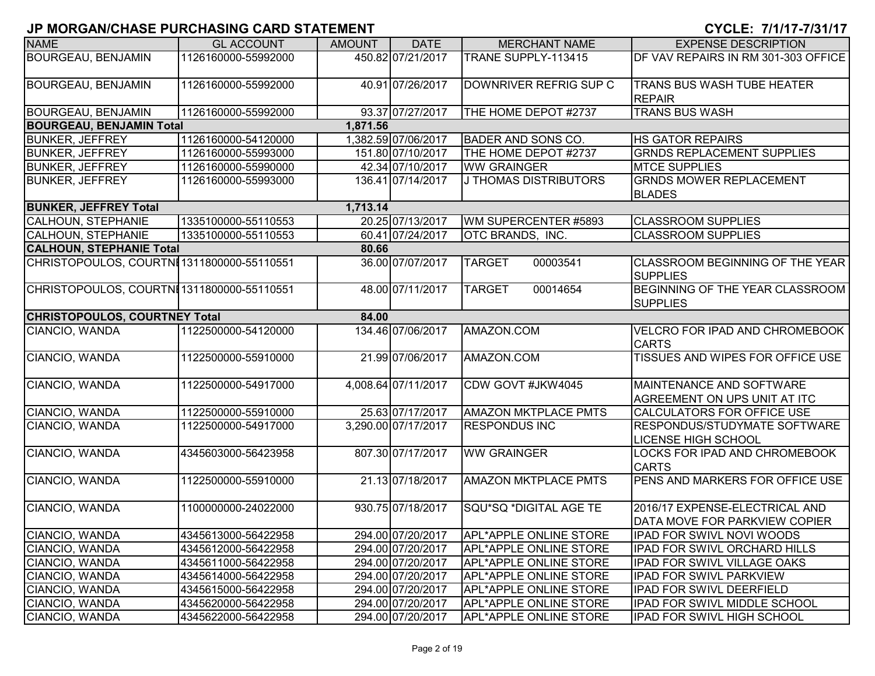| <b>NAME</b>                                | <b>GL ACCOUNT</b>   | <b>AMOUNT</b> | <b>DATE</b>         | <b>MERCHANT NAME</b>         | <b>EXPENSE DESCRIPTION</b>                                        |
|--------------------------------------------|---------------------|---------------|---------------------|------------------------------|-------------------------------------------------------------------|
| <b>BOURGEAU, BENJAMIN</b>                  | 1126160000-55992000 |               | 450.82 07/21/2017   | TRANE SUPPLY-113415          | DF VAV REPAIRS IN RM 301-303 OFFICE                               |
| <b>BOURGEAU, BENJAMIN</b>                  | 1126160000-55992000 |               | 40.91 07/26/2017    | DOWNRIVER REFRIG SUP C       | TRANS BUS WASH TUBE HEATER<br><b>REPAIR</b>                       |
| <b>BOURGEAU, BENJAMIN</b>                  | 1126160000-55992000 |               | 93.37 07/27/2017    | THE HOME DEPOT #2737         | <b>TRANS BUS WASH</b>                                             |
| <b>BOURGEAU, BENJAMIN Total</b>            |                     | 1,871.56      |                     |                              |                                                                   |
| <b>BUNKER, JEFFREY</b>                     | 1126160000-54120000 |               | 1,382.59 07/06/2017 | <b>BADER AND SONS CO.</b>    | <b>HS GATOR REPAIRS</b>                                           |
| <b>BUNKER, JEFFREY</b>                     | 1126160000-55993000 |               | 151.80 07/10/2017   | THE HOME DEPOT #2737         | <b>GRNDS REPLACEMENT SUPPLIES</b>                                 |
| <b>BUNKER, JEFFREY</b>                     | 1126160000-55990000 |               | 42.34 07/10/2017    | <b>WW GRAINGER</b>           | <b>MTCE SUPPLIES</b>                                              |
| <b>BUNKER, JEFFREY</b>                     | 1126160000-55993000 |               | 136.41 07/14/2017   | <b>J THOMAS DISTRIBUTORS</b> | <b>GRNDS MOWER REPLACEMENT</b><br><b>BLADES</b>                   |
| <b>BUNKER, JEFFREY Total</b>               |                     | 1,713.14      |                     |                              |                                                                   |
| <b>CALHOUN, STEPHANIE</b>                  | 1335100000-55110553 |               | 20.25 07/13/2017    | WM SUPERCENTER #5893         | <b>CLASSROOM SUPPLIES</b>                                         |
| <b>CALHOUN, STEPHANIE</b>                  | 1335100000-55110553 |               | 60.41 07/24/2017    | OTC BRANDS, INC.             | <b>CLASSROOM SUPPLIES</b>                                         |
| <b>CALHOUN, STEPHANIE Total</b>            |                     | 80.66         |                     |                              |                                                                   |
| CHRISTOPOULOS, COURTNI1311800000-55110551  |                     |               | 36.00 07/07/2017    | <b>TARGET</b><br>00003541    | CLASSROOM BEGINNING OF THE YEAR<br><b>SUPPLIES</b>                |
| CHRISTOPOULOS, COURTNI 1311800000-55110551 |                     |               | 48.00 07/11/2017    | <b>TARGET</b><br>00014654    | BEGINNING OF THE YEAR CLASSROOM<br><b>SUPPLIES</b>                |
| <b>CHRISTOPOULOS, COURTNEY Total</b>       |                     | 84.00         |                     |                              |                                                                   |
| CIANCIO, WANDA                             | 1122500000-54120000 |               | 134.46 07/06/2017   | AMAZON.COM                   | VELCRO FOR IPAD AND CHROMEBOOK<br><b>CARTS</b>                    |
| CIANCIO, WANDA                             | 1122500000-55910000 |               | 21.99 07/06/2017    | AMAZON.COM                   | TISSUES AND WIPES FOR OFFICE USE                                  |
| CIANCIO, WANDA                             | 1122500000-54917000 |               | 4,008.64 07/11/2017 | CDW GOVT #JKW4045            | MAINTENANCE AND SOFTWARE<br>AGREEMENT ON UPS UNIT AT ITC          |
| CIANCIO, WANDA                             | 1122500000-55910000 |               | 25.63 07/17/2017    | <b>AMAZON MKTPLACE PMTS</b>  | CALCULATORS FOR OFFICE USE                                        |
| CIANCIO, WANDA                             | 1122500000-54917000 |               | 3,290.00 07/17/2017 | <b>RESPONDUS INC</b>         | <b>RESPONDUS/STUDYMATE SOFTWARE</b><br><b>LICENSE HIGH SCHOOL</b> |
| CIANCIO, WANDA                             | 4345603000-56423958 |               | 807.30 07/17/2017   | <b>WW GRAINGER</b>           | LOCKS FOR IPAD AND CHROMEBOOK<br><b>CARTS</b>                     |
| CIANCIO, WANDA                             | 1122500000-55910000 |               | 21.13 07/18/2017    | <b>AMAZON MKTPLACE PMTS</b>  | PENS AND MARKERS FOR OFFICE USE                                   |
| CIANCIO, WANDA                             | 1100000000-24022000 |               | 930.75 07/18/2017   | SQU*SQ *DIGITAL AGE TE       | 2016/17 EXPENSE-ELECTRICAL AND<br>DATA MOVE FOR PARKVIEW COPIER   |
| CIANCIO, WANDA                             | 4345613000-56422958 |               | 294.00 07/20/2017   | APL*APPLE ONLINE STORE       | IPAD FOR SWIVL NOVI WOODS                                         |
| CIANCIO, WANDA                             | 4345612000-56422958 |               | 294.00 07/20/2017   | APL*APPLE ONLINE STORE       | IPAD FOR SWIVL ORCHARD HILLS                                      |
| CIANCIO, WANDA                             | 4345611000-56422958 |               | 294.00 07/20/2017   | APL*APPLE ONLINE STORE       | IPAD FOR SWIVL VILLAGE OAKS                                       |
| CIANCIO, WANDA                             | 4345614000-56422958 |               | 294.00 07/20/2017   | APL*APPLE ONLINE STORE       | <b>IPAD FOR SWIVL PARKVIEW</b>                                    |
| CIANCIO, WANDA                             | 4345615000-56422958 |               | 294.00 07/20/2017   | APL*APPLE ONLINE STORE       | IPAD FOR SWIVL DEERFIELD                                          |
| CIANCIO, WANDA                             | 4345620000-56422958 |               | 294.00 07/20/2017   | APL*APPLE ONLINE STORE       | IPAD FOR SWIVL MIDDLE SCHOOL                                      |
| CIANCIO, WANDA                             | 4345622000-56422958 |               | 294.00 07/20/2017   | APL*APPLE ONLINE STORE       | <b>IPAD FOR SWIVL HIGH SCHOOL</b>                                 |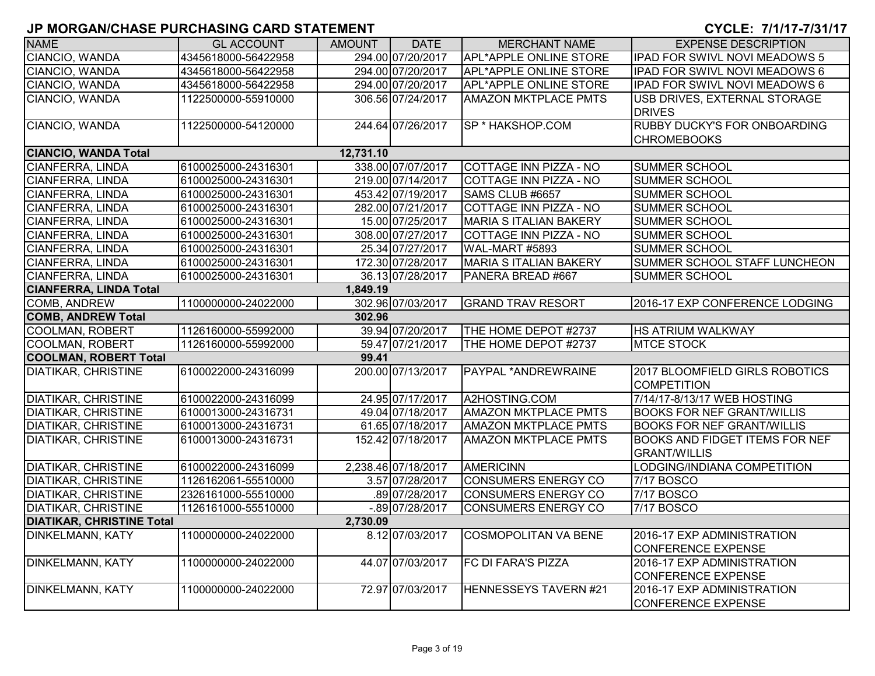| <b>NAME</b>                      | <b>GL ACCOUNT</b>   | <b>AMOUNT</b> | <b>DATE</b>         | <b>MERCHANT NAME</b>          | <b>EXPENSE DESCRIPTION</b>            |
|----------------------------------|---------------------|---------------|---------------------|-------------------------------|---------------------------------------|
| CIANCIO, WANDA                   | 4345618000-56422958 |               | 294.00 07/20/2017   | <b>APL*APPLE ONLINE STORE</b> | <b>IPAD FOR SWIVL NOVI MEADOWS 5</b>  |
| CIANCIO, WANDA                   | 4345618000-56422958 |               | 294.00 07/20/2017   | <b>APL*APPLE ONLINE STORE</b> | IPAD FOR SWIVL NOVI MEADOWS 6         |
| CIANCIO, WANDA                   | 4345618000-56422958 |               | 294.00 07/20/2017   | <b>APL*APPLE ONLINE STORE</b> | <b>IPAD FOR SWIVL NOVI MEADOWS 6</b>  |
| CIANCIO, WANDA                   | 1122500000-55910000 |               | 306.56 07/24/2017   | <b>AMAZON MKTPLACE PMTS</b>   | USB DRIVES, EXTERNAL STORAGE          |
|                                  |                     |               |                     |                               | <b>DRIVES</b>                         |
| CIANCIO, WANDA                   | 1122500000-54120000 |               | 244.64 07/26/2017   | SP * HAKSHOP.COM              | <b>RUBBY DUCKY'S FOR ONBOARDING</b>   |
|                                  |                     |               |                     |                               | <b>CHROMEBOOKS</b>                    |
| <b>CIANCIO, WANDA Total</b>      |                     | 12,731.10     |                     |                               |                                       |
| <b>CIANFERRA, LINDA</b>          | 6100025000-24316301 |               | 338.00 07/07/2017   | COTTAGE INN PIZZA - NO        | <b>SUMMER SCHOOL</b>                  |
| CIANFERRA, LINDA                 | 6100025000-24316301 |               | 219.00 07/14/2017   | COTTAGE INN PIZZA - NO        | <b>SUMMER SCHOOL</b>                  |
| <b>CIANFERRA, LINDA</b>          | 6100025000-24316301 |               | 453.42 07/19/2017   | SAMS CLUB #6657               | <b>SUMMER SCHOOL</b>                  |
| <b>CIANFERRA, LINDA</b>          | 6100025000-24316301 |               | 282.00 07/21/2017   | <b>COTTAGE INN PIZZA - NO</b> | <b>SUMMER SCHOOL</b>                  |
| <b>CIANFERRA, LINDA</b>          | 6100025000-24316301 |               | 15.00 07/25/2017    | <b>MARIA S ITALIAN BAKERY</b> | SUMMER SCHOOL                         |
| CIANFERRA, LINDA                 | 6100025000-24316301 |               | 308.00 07/27/2017   | COTTAGE INN PIZZA - NO        | SUMMER SCHOOL                         |
| CIANFERRA, LINDA                 | 6100025000-24316301 |               | 25.34 07/27/2017    | WAL-MART #5893                | <b>SUMMER SCHOOL</b>                  |
| <b>CIANFERRA, LINDA</b>          | 6100025000-24316301 |               | 172.30 07/28/2017   | <b>MARIA S ITALIAN BAKERY</b> | SUMMER SCHOOL STAFF LUNCHEON          |
| <b>CIANFERRA, LINDA</b>          | 6100025000-24316301 |               | 36.13 07/28/2017    | PANERA BREAD #667             | <b>SUMMER SCHOOL</b>                  |
| <b>CIANFERRA, LINDA Total</b>    |                     | 1,849.19      |                     |                               |                                       |
| <b>COMB, ANDREW</b>              | 1100000000-24022000 |               | 302.96 07/03/2017   | <b>GRAND TRAV RESORT</b>      | 2016-17 EXP CONFERENCE LODGING        |
| <b>COMB, ANDREW Total</b>        |                     | 302.96        |                     |                               |                                       |
| <b>COOLMAN, ROBERT</b>           | 1126160000-55992000 |               | 39.94 07/20/2017    | THE HOME DEPOT #2737          | <b>HS ATRIUM WALKWAY</b>              |
| <b>COOLMAN, ROBERT</b>           | 1126160000-55992000 |               | 59.47 07/21/2017    | THE HOME DEPOT #2737          | <b>MTCE STOCK</b>                     |
| <b>COOLMAN, ROBERT Total</b>     |                     | 99.41         |                     |                               |                                       |
| <b>DIATIKAR, CHRISTINE</b>       | 6100022000-24316099 |               | 200.00 07/13/2017   | PAYPAL *ANDREWRAINE           | 2017 BLOOMFIELD GIRLS ROBOTICS        |
|                                  |                     |               |                     |                               | <b>COMPETITION</b>                    |
| <b>DIATIKAR, CHRISTINE</b>       | 6100022000-24316099 |               | 24.95 07/17/2017    | A2HOSTING.COM                 | 7/14/17-8/13/17 WEB HOSTING           |
| <b>DIATIKAR, CHRISTINE</b>       | 6100013000-24316731 |               | 49.04 07/18/2017    | <b>AMAZON MKTPLACE PMTS</b>   | <b>BOOKS FOR NEF GRANT/WILLIS</b>     |
| <b>DIATIKAR, CHRISTINE</b>       | 6100013000-24316731 |               | 61.65 07/18/2017    | <b>AMAZON MKTPLACE PMTS</b>   | <b>BOOKS FOR NEF GRANT/WILLIS</b>     |
| <b>DIATIKAR, CHRISTINE</b>       | 6100013000-24316731 |               | 152.42 07/18/2017   | <b>AMAZON MKTPLACE PMTS</b>   | <b>BOOKS AND FIDGET ITEMS FOR NEF</b> |
|                                  |                     |               |                     |                               | <b>GRANT/WILLIS</b>                   |
| <b>DIATIKAR, CHRISTINE</b>       | 6100022000-24316099 |               | 2,238.46 07/18/2017 | <b>AMERICINN</b>              | LODGING/INDIANA COMPETITION           |
| <b>DIATIKAR, CHRISTINE</b>       | 1126162061-55510000 |               | 3.57 07/28/2017     | <b>CONSUMERS ENERGY CO</b>    | <b>7/17 BOSCO</b>                     |
| <b>DIATIKAR, CHRISTINE</b>       | 2326161000-55510000 |               | .89 07/28/2017      | <b>CONSUMERS ENERGY CO</b>    | <b>7/17 BOSCO</b>                     |
| <b>DIATIKAR, CHRISTINE</b>       | 1126161000-55510000 |               | $-0.89$ 07/28/2017  | <b>CONSUMERS ENERGY CO</b>    | 7/17 BOSCO                            |
| <b>DIATIKAR, CHRISTINE Total</b> |                     | 2,730.09      |                     |                               |                                       |
| DINKELMANN, KATY                 | 1100000000-24022000 |               | 8.12 07/03/2017     | <b>COSMOPOLITAN VA BENE</b>   | 2016-17 EXP ADMINISTRATION            |
|                                  |                     |               |                     |                               | <b>CONFERENCE EXPENSE</b>             |
| <b>DINKELMANN, KATY</b>          | 1100000000-24022000 |               | 44.07 07/03/2017    | <b>FC DI FARA'S PIZZA</b>     | 2016-17 EXP ADMINISTRATION            |
|                                  |                     |               |                     |                               | <b>CONFERENCE EXPENSE</b>             |
| <b>DINKELMANN, KATY</b>          | 1100000000-24022000 |               | 72.97 07/03/2017    | HENNESSEYS TAVERN #21         | 2016-17 EXP ADMINISTRATION            |
|                                  |                     |               |                     |                               | CONFERENCE EXPENSE                    |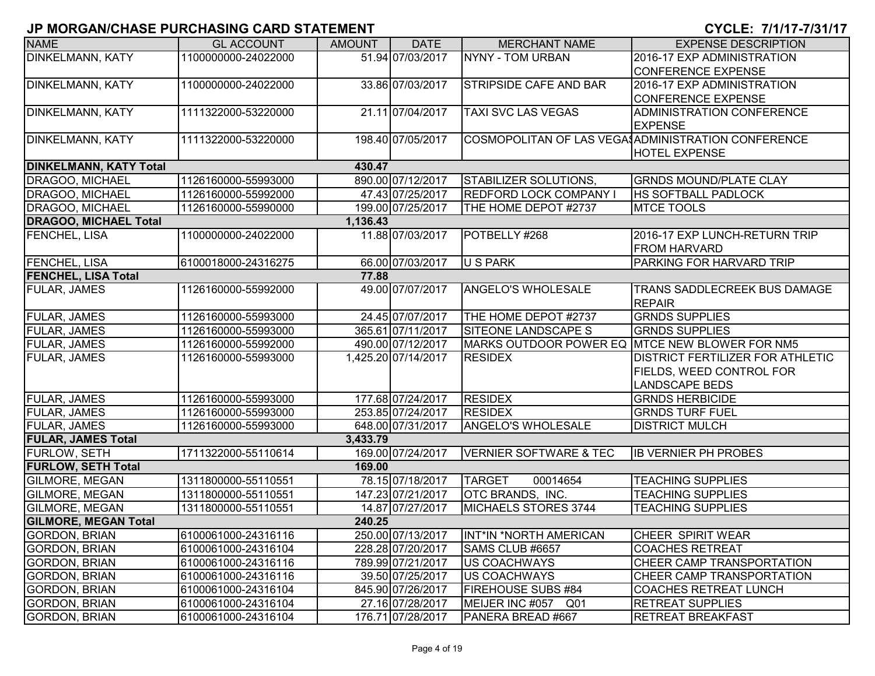| <b>NAME</b>                   | <b>GL ACCOUNT</b>   | <b>AMOUNT</b> | <b>DATE</b>         | <b>MERCHANT NAME</b>              | <b>EXPENSE DESCRIPTION</b>                         |
|-------------------------------|---------------------|---------------|---------------------|-----------------------------------|----------------------------------------------------|
| <b>DINKELMANN, KATY</b>       | 1100000000-24022000 |               | 51.94 07/03/2017    | <b>NYNY - TOM URBAN</b>           | 2016-17 EXP ADMINISTRATION                         |
|                               |                     |               |                     |                                   | <b>CONFERENCE EXPENSE</b>                          |
| <b>DINKELMANN, KATY</b>       | 1100000000-24022000 |               | 33.86 07/03/2017    | <b>STRIPSIDE CAFE AND BAR</b>     | 2016-17 EXP ADMINISTRATION                         |
|                               |                     |               |                     |                                   | <b>CONFERENCE EXPENSE</b>                          |
| <b>DINKELMANN, KATY</b>       | 1111322000-53220000 |               | 21.11 07/04/2017    | <b>TAXI SVC LAS VEGAS</b>         | ADMINISTRATION CONFERENCE                          |
|                               |                     |               |                     |                                   | <b>EXPENSE</b>                                     |
| <b>DINKELMANN, KATY</b>       | 1111322000-53220000 |               | 198.40 07/05/2017   |                                   | COSMOPOLITAN OF LAS VEGA ADMINISTRATION CONFERENCE |
|                               |                     |               |                     |                                   | <b>HOTEL EXPENSE</b>                               |
| <b>DINKELMANN, KATY Total</b> |                     | 430.47        |                     |                                   |                                                    |
| DRAGOO, MICHAEL               | 1126160000-55993000 |               | 890.00 07/12/2017   | <b>STABILIZER SOLUTIONS</b>       | <b>GRNDS MOUND/PLATE CLAY</b>                      |
| DRAGOO, MICHAEL               | 1126160000-55992000 |               | 47.43 07/25/2017    | <b>REDFORD LOCK COMPANY I</b>     | <b>HS SOFTBALL PADLOCK</b>                         |
| DRAGOO, MICHAEL               | 1126160000-55990000 |               | 199.00 07/25/2017   | THE HOME DEPOT #2737              | <b>MTCE TOOLS</b>                                  |
| <b>DRAGOO, MICHAEL Total</b>  |                     | 1,136.43      |                     |                                   |                                                    |
| <b>FENCHEL, LISA</b>          | 1100000000-24022000 |               | 11.88 07/03/2017    | POTBELLY #268                     | 2016-17 EXP LUNCH-RETURN TRIP                      |
|                               |                     |               |                     |                                   | <b>FROM HARVARD</b>                                |
| FENCHEL, LISA                 | 6100018000-24316275 |               | 66.00 07/03/2017    | U S PARK                          | PARKING FOR HARVARD TRIP                           |
| <b>FENCHEL, LISA Total</b>    |                     | 77.88         |                     |                                   |                                                    |
| <b>FULAR, JAMES</b>           | 1126160000-55992000 |               | 49.00 07/07/2017    | ANGELO'S WHOLESALE                | <b>TRANS SADDLECREEK BUS DAMAGE</b>                |
|                               |                     |               |                     |                                   | <b>REPAIR</b>                                      |
| <b>FULAR, JAMES</b>           | 1126160000-55993000 |               | 24.45 07/07/2017    | THE HOME DEPOT #2737              | <b>GRNDS SUPPLIES</b>                              |
| <b>FULAR, JAMES</b>           | 1126160000-55993000 |               | 365.61 07/11/2017   | SITEONE LANDSCAPE S               | <b>GRNDS SUPPLIES</b>                              |
| FULAR, JAMES                  | 1126160000-55992000 |               | 490.00 07/12/2017   |                                   | MARKS OUTDOOR POWER EQ MTCE NEW BLOWER FOR NM5     |
| FULAR, JAMES                  | 1126160000-55993000 |               | 1,425.20 07/14/2017 | <b>RESIDEX</b>                    | <b>DISTRICT FERTILIZER FOR ATHLETIC</b>            |
|                               |                     |               |                     |                                   | FIELDS, WEED CONTROL FOR                           |
|                               |                     |               |                     |                                   | <b>LANDSCAPE BEDS</b>                              |
| <b>FULAR, JAMES</b>           | 1126160000-55993000 |               | 177.68 07/24/2017   | <b>RESIDEX</b>                    | <b>GRNDS HERBICIDE</b>                             |
| <b>FULAR, JAMES</b>           | 1126160000-55993000 |               | 253.85 07/24/2017   | <b>RESIDEX</b>                    | <b>GRNDS TURF FUEL</b>                             |
| FULAR, JAMES                  | 1126160000-55993000 |               | 648.00 07/31/2017   | ANGELO'S WHOLESALE                | <b>DISTRICT MULCH</b>                              |
| <b>FULAR, JAMES Total</b>     |                     | 3,433.79      |                     |                                   |                                                    |
| <b>FURLOW, SETH</b>           | 1711322000-55110614 |               | 169.00 07/24/2017   | <b>VERNIER SOFTWARE &amp; TEC</b> | <b>IB VERNIER PH PROBES</b>                        |
| <b>FURLOW, SETH Total</b>     |                     | 169.00        |                     |                                   |                                                    |
| GILMORE, MEGAN                | 1311800000-55110551 |               | 78.15 07/18/2017    | <b>TARGET</b><br>00014654         | <b>TEACHING SUPPLIES</b>                           |
| <b>GILMORE, MEGAN</b>         | 1311800000-55110551 |               | 147.23 07/21/2017   | <b>OTC BRANDS, INC.</b>           | <b>TEACHING SUPPLIES</b>                           |
| <b>GILMORE, MEGAN</b>         | 1311800000-55110551 |               | 14.87 07/27/2017    | MICHAELS STORES 3744              | <b>TEACHING SUPPLIES</b>                           |
| <b>GILMORE, MEGAN Total</b>   |                     | 240.25        |                     |                                   |                                                    |
| <b>GORDON, BRIAN</b>          | 6100061000-24316116 |               | 250.00 07/13/2017   | INT*IN *NORTH AMERICAN            | CHEER SPIRIT WEAR                                  |
| <b>GORDON, BRIAN</b>          | 6100061000-24316104 |               | 228.28 07/20/2017   | SAMS CLUB #6657                   | <b>COACHES RETREAT</b>                             |
| <b>GORDON, BRIAN</b>          | 6100061000-24316116 |               | 789.99 07/21/2017   | <b>US COACHWAYS</b>               | CHEER CAMP TRANSPORTATION                          |
| <b>GORDON, BRIAN</b>          | 6100061000-24316116 |               | 39.50 07/25/2017    | <b>US COACHWAYS</b>               | CHEER CAMP TRANSPORTATION                          |
| <b>GORDON, BRIAN</b>          | 6100061000-24316104 |               | 845.90 07/26/2017   | <b>FIREHOUSE SUBS #84</b>         | <b>COACHES RETREAT LUNCH</b>                       |
| <b>GORDON, BRIAN</b>          | 6100061000-24316104 |               | 27.16 07/28/2017    | MEIJER INC #057 Q01               | <b>RETREAT SUPPLIES</b>                            |
| <b>GORDON, BRIAN</b>          | 6100061000-24316104 |               | 176.71 07/28/2017   | PANERA BREAD #667                 | <b>RETREAT BREAKFAST</b>                           |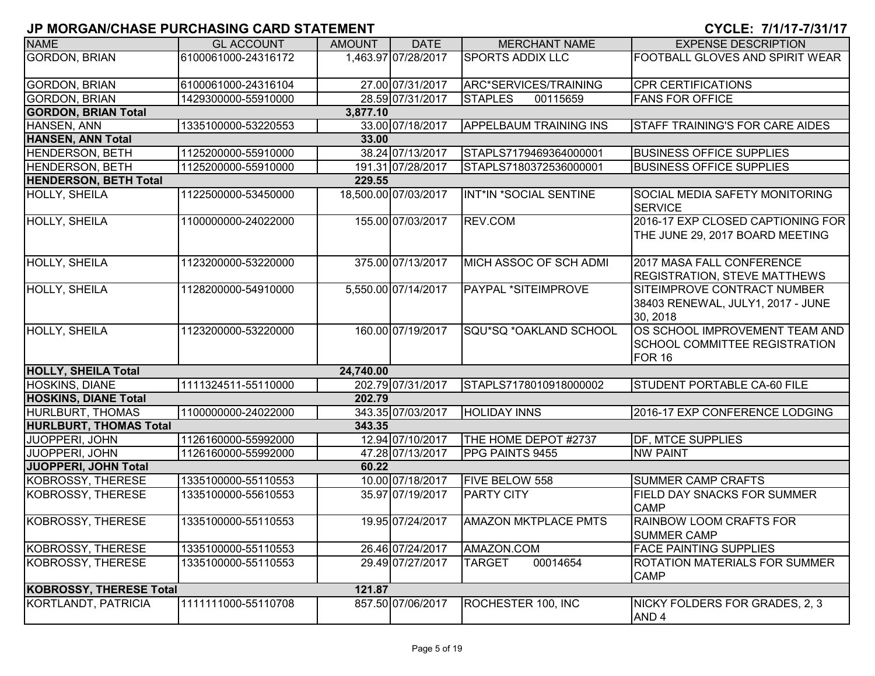| <b>NAME</b>                    | <b>GL ACCOUNT</b>   | <b>AMOUNT</b> | <b>DATE</b>          | <b>MERCHANT NAME</b>          | <b>EXPENSE DESCRIPTION</b>                                                       |
|--------------------------------|---------------------|---------------|----------------------|-------------------------------|----------------------------------------------------------------------------------|
| <b>GORDON, BRIAN</b>           | 6100061000-24316172 |               | 1,463.97 07/28/2017  | <b>SPORTS ADDIX LLC</b>       | FOOTBALL GLOVES AND SPIRIT WEAR                                                  |
|                                |                     |               |                      |                               |                                                                                  |
| <b>GORDON, BRIAN</b>           | 6100061000-24316104 |               | 27.00 07/31/2017     | ARC*SERVICES/TRAINING         | <b>CPR CERTIFICATIONS</b>                                                        |
| <b>GORDON, BRIAN</b>           | 1429300000-55910000 |               | 28.59 07/31/2017     | <b>STAPLES</b><br>00115659    | <b>FANS FOR OFFICE</b>                                                           |
| <b>GORDON, BRIAN Total</b>     |                     | 3,877.10      |                      |                               |                                                                                  |
| HANSEN, ANN                    | 1335100000-53220553 |               | 33.00 07/18/2017     | <b>APPELBAUM TRAINING INS</b> | <b>STAFF TRAINING'S FOR CARE AIDES</b>                                           |
| <b>HANSEN, ANN Total</b>       |                     | 33.00         |                      |                               |                                                                                  |
| HENDERSON, BETH                | 1125200000-55910000 |               | 38.24 07/13/2017     | STAPLS7179469364000001        | <b>BUSINESS OFFICE SUPPLIES</b>                                                  |
| <b>HENDERSON, BETH</b>         | 1125200000-55910000 |               | 191.31 07/28/2017    | STAPLS7180372536000001        | <b>BUSINESS OFFICE SUPPLIES</b>                                                  |
| <b>HENDERSON, BETH Total</b>   |                     | 229.55        |                      |                               |                                                                                  |
| HOLLY, SHEILA                  | 1122500000-53450000 |               | 18,500.00 07/03/2017 | INT*IN *SOCIAL SENTINE        | SOCIAL MEDIA SAFETY MONITORING<br><b>SERVICE</b>                                 |
| HOLLY, SHEILA                  | 1100000000-24022000 |               | 155.00 07/03/2017    | REV.COM                       | 2016-17 EXP CLOSED CAPTIONING FOR<br>THE JUNE 29, 2017 BOARD MEETING             |
| <b>HOLLY, SHEILA</b>           | 1123200000-53220000 |               | 375.00 07/13/2017    | MICH ASSOC OF SCH ADMI        | 2017 MASA FALL CONFERENCE<br><b>REGISTRATION, STEVE MATTHEWS</b>                 |
| <b>HOLLY, SHEILA</b>           | 1128200000-54910000 |               | 5,550.00 07/14/2017  | <b>PAYPAL *SITEIMPROVE</b>    | SITEIMPROVE CONTRACT NUMBER<br>38403 RENEWAL, JULY1, 2017 - JUNE<br>30, 2018     |
| <b>HOLLY, SHEILA</b>           | 1123200000-53220000 |               | 160.00 07/19/2017    | SQU*SQ *OAKLAND SCHOOL        | OS SCHOOL IMPROVEMENT TEAM AND<br><b>SCHOOL COMMITTEE REGISTRATION</b><br>FOR 16 |
| <b>HOLLY, SHEILA Total</b>     |                     | 24,740.00     |                      |                               |                                                                                  |
| <b>HOSKINS, DIANE</b>          | 1111324511-55110000 |               | 202.79 07/31/2017    | STAPLS7178010918000002        | <b>STUDENT PORTABLE CA-60 FILE</b>                                               |
| <b>HOSKINS, DIANE Total</b>    |                     | 202.79        |                      |                               |                                                                                  |
| HURLBURT, THOMAS               | 1100000000-24022000 |               | 343.35 07/03/2017    | <b>HOLIDAY INNS</b>           | 2016-17 EXP CONFERENCE LODGING                                                   |
| <b>HURLBURT, THOMAS Total</b>  |                     | 343.35        |                      |                               |                                                                                  |
| <b>JUOPPERI, JOHN</b>          | 1126160000-55992000 |               | 12.94 07/10/2017     | THE HOME DEPOT #2737          | <b>DF, MTCE SUPPLIES</b>                                                         |
| <b>JUOPPERI, JOHN</b>          | 1126160000-55992000 |               | 47.28 07/13/2017     | PPG PAINTS 9455               | <b>NW PAINT</b>                                                                  |
| <b>JUOPPERI, JOHN Total</b>    |                     | 60.22         |                      |                               |                                                                                  |
| KOBROSSY, THERESE              | 1335100000-55110553 |               | 10.00 07/18/2017     | <b>FIVE BELOW 558</b>         | SUMMER CAMP CRAFTS                                                               |
| KOBROSSY, THERESE              | 1335100000-55610553 |               | 35.97 07/19/2017     | <b>PARTY CITY</b>             | <b>FIELD DAY SNACKS FOR SUMMER</b><br><b>CAMP</b>                                |
| KOBROSSY, THERESE              | 1335100000-55110553 |               | 19.95 07/24/2017     | <b>AMAZON MKTPLACE PMTS</b>   | RAINBOW LOOM CRAFTS FOR<br><b>SUMMER CAMP</b>                                    |
| KOBROSSY, THERESE              | 1335100000-55110553 |               | 26.46 07/24/2017     | AMAZON.COM                    | <b>FACE PAINTING SUPPLIES</b>                                                    |
| KOBROSSY, THERESE              | 1335100000-55110553 |               | 29.49 07/27/2017     | 00014654<br><b>TARGET</b>     | ROTATION MATERIALS FOR SUMMER<br><b>CAMP</b>                                     |
| <b>KOBROSSY, THERESE Total</b> |                     | 121.87        |                      |                               |                                                                                  |
| KORTLANDT, PATRICIA            | 1111111000-55110708 |               | 857.50 07/06/2017    | ROCHESTER 100, INC            | NICKY FOLDERS FOR GRADES, 2, 3<br>AND <sub>4</sub>                               |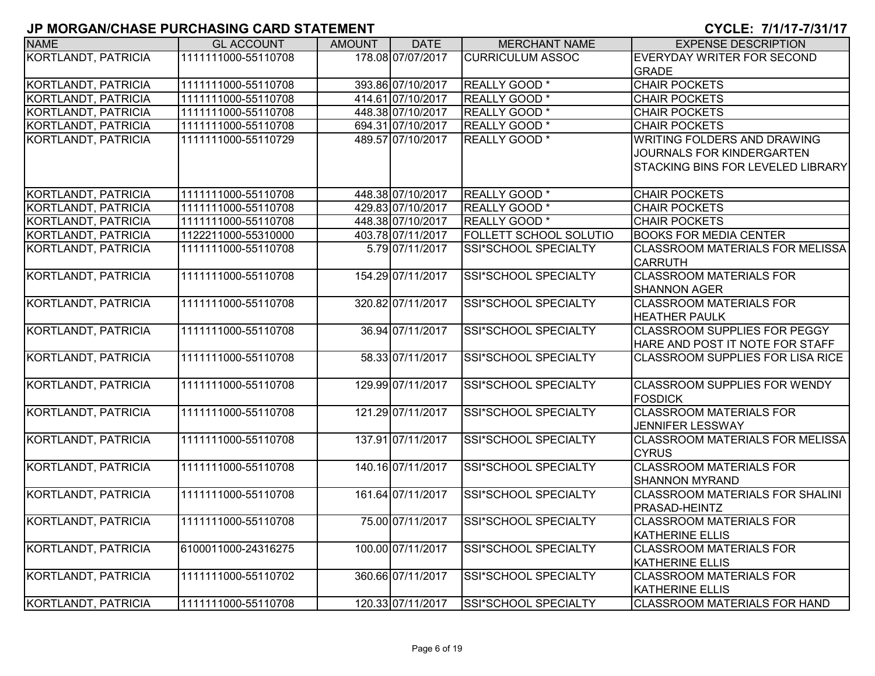| <b>NAME</b>                | <b>GL ACCOUNT</b>   | <b>AMOUNT</b> | <b>DATE</b>       | <b>MERCHANT NAME</b>        | <b>EXPENSE DESCRIPTION</b>              |
|----------------------------|---------------------|---------------|-------------------|-----------------------------|-----------------------------------------|
| <b>KORTLANDT, PATRICIA</b> | 1111111000-55110708 |               | 178.08 07/07/2017 | <b>CURRICULUM ASSOC</b>     | EVERYDAY WRITER FOR SECOND              |
|                            |                     |               |                   |                             | <b>GRADE</b>                            |
| <b>KORTLANDT, PATRICIA</b> | 1111111000-55110708 |               | 393.86 07/10/2017 | <b>REALLY GOOD</b> *        | <b>CHAIR POCKETS</b>                    |
| <b>KORTLANDT, PATRICIA</b> | 1111111000-55110708 |               | 414.61 07/10/2017 | <b>REALLY GOOD</b> *        | <b>CHAIR POCKETS</b>                    |
| <b>KORTLANDT, PATRICIA</b> | 1111111000-55110708 |               | 448.38 07/10/2017 | REALLY GOOD <sup>*</sup>    | <b>CHAIR POCKETS</b>                    |
| <b>KORTLANDT, PATRICIA</b> | 1111111000-55110708 |               | 694.31 07/10/2017 | REALLY GOOD <sup>*</sup>    | <b>CHAIR POCKETS</b>                    |
| KORTLANDT, PATRICIA        | 1111111000-55110729 |               | 489.57 07/10/2017 | REALLY GOOD <sup>*</sup>    | WRITING FOLDERS AND DRAWING             |
|                            |                     |               |                   |                             | JOURNALS FOR KINDERGARTEN               |
|                            |                     |               |                   |                             | STACKING BINS FOR LEVELED LIBRARY       |
| <b>KORTLANDT, PATRICIA</b> | 1111111000-55110708 |               | 448.38 07/10/2017 | REALLY GOOD <sup>*</sup>    | <b>CHAIR POCKETS</b>                    |
| KORTLANDT, PATRICIA        | 1111111000-55110708 |               | 429.83 07/10/2017 | REALLY GOOD *               | <b>CHAIR POCKETS</b>                    |
| KORTLANDT, PATRICIA        | 1111111000-55110708 |               | 448.38 07/10/2017 | REALLY GOOD <sup>*</sup>    | <b>CHAIR POCKETS</b>                    |
| KORTLANDT, PATRICIA        | 1122211000-55310000 |               | 403.78 07/11/2017 | FOLLETT SCHOOL SOLUTIO      | <b>BOOKS FOR MEDIA CENTER</b>           |
| <b>KORTLANDT, PATRICIA</b> | 1111111000-55110708 |               | 5.79 07/11/2017   | SSI*SCHOOL SPECIALTY        | <b>CLASSROOM MATERIALS FOR MELISSA</b>  |
|                            |                     |               |                   |                             | <b>CARRUTH</b>                          |
| <b>KORTLANDT, PATRICIA</b> | 1111111000-55110708 |               | 154.29 07/11/2017 | <b>SSI*SCHOOL SPECIALTY</b> | <b>CLASSROOM MATERIALS FOR</b>          |
|                            |                     |               |                   |                             | <b>SHANNON AGER</b>                     |
| <b>KORTLANDT, PATRICIA</b> | 1111111000-55110708 |               | 320.82 07/11/2017 | SSI*SCHOOL SPECIALTY        | <b>CLASSROOM MATERIALS FOR</b>          |
|                            |                     |               |                   |                             | <b>HEATHER PAULK</b>                    |
| <b>KORTLANDT, PATRICIA</b> | 1111111000-55110708 |               | 36.94 07/11/2017  | <b>SSI*SCHOOL SPECIALTY</b> | <b>CLASSROOM SUPPLIES FOR PEGGY</b>     |
|                            |                     |               |                   |                             | HARE AND POST IT NOTE FOR STAFF         |
| <b>KORTLANDT, PATRICIA</b> | 1111111000-55110708 |               | 58.33 07/11/2017  | <b>SSI*SCHOOL SPECIALTY</b> | <b>CLASSROOM SUPPLIES FOR LISA RICE</b> |
| <b>KORTLANDT, PATRICIA</b> | 1111111000-55110708 |               | 129.99 07/11/2017 | <b>SSI*SCHOOL SPECIALTY</b> | <b>CLASSROOM SUPPLIES FOR WENDY</b>     |
|                            |                     |               |                   |                             | <b>FOSDICK</b>                          |
| <b>KORTLANDT, PATRICIA</b> | 1111111000-55110708 |               | 121.29 07/11/2017 | SSI*SCHOOL SPECIALTY        | <b>CLASSROOM MATERIALS FOR</b>          |
|                            |                     |               |                   |                             | <b>JENNIFER LESSWAY</b>                 |
| <b>KORTLANDT, PATRICIA</b> | 1111111000-55110708 |               | 137.91 07/11/2017 | SSI*SCHOOL SPECIALTY        | <b>CLASSROOM MATERIALS FOR MELISSA</b>  |
|                            |                     |               |                   |                             | <b>CYRUS</b>                            |
| <b>KORTLANDT, PATRICIA</b> | 1111111000-55110708 |               | 140.16 07/11/2017 | SSI*SCHOOL SPECIALTY        | <b>CLASSROOM MATERIALS FOR</b>          |
|                            |                     |               |                   |                             | <b>SHANNON MYRAND</b>                   |
| KORTLANDT, PATRICIA        | 1111111000-55110708 |               | 161.64 07/11/2017 | SSI*SCHOOL SPECIALTY        | <b>CLASSROOM MATERIALS FOR SHALINI</b>  |
|                            |                     |               |                   |                             | PRASAD-HEINTZ                           |
| KORTLANDT, PATRICIA        | 1111111000-55110708 |               | 75.00 07/11/2017  | SSI*SCHOOL SPECIALTY        | <b>CLASSROOM MATERIALS FOR</b>          |
|                            |                     |               |                   |                             | <b>KATHERINE ELLIS</b>                  |
| KORTLANDT, PATRICIA        | 6100011000-24316275 |               | 100.00 07/11/2017 | SSI*SCHOOL SPECIALTY        | <b>CLASSROOM MATERIALS FOR</b>          |
|                            |                     |               |                   |                             | <b>KATHERINE ELLIS</b>                  |
| KORTLANDT, PATRICIA        | 1111111000-55110702 |               | 360.66 07/11/2017 | SSI*SCHOOL SPECIALTY        | <b>CLASSROOM MATERIALS FOR</b>          |
|                            |                     |               |                   |                             | <b>KATHERINE ELLIS</b>                  |
| KORTLANDT, PATRICIA        | 1111111000-55110708 |               | 120.33 07/11/2017 | SSI*SCHOOL SPECIALTY        | <b>CLASSROOM MATERIALS FOR HAND</b>     |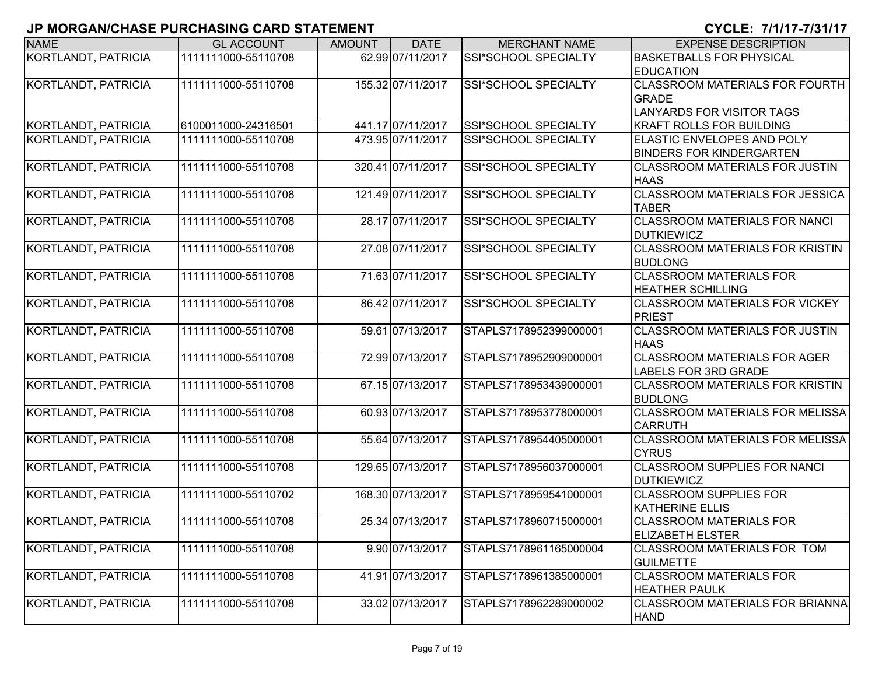| <b>NAME</b>                | <b>GL ACCOUNT</b>    | <b>AMOUNT</b> | <b>DATE</b>       | <b>MERCHANT NAME</b>        | <b>EXPENSE DESCRIPTION</b>                                                                |
|----------------------------|----------------------|---------------|-------------------|-----------------------------|-------------------------------------------------------------------------------------------|
| <b>KORTLANDT, PATRICIA</b> | 1111111000-55110708  |               | 62.99 07/11/2017  | SSI*SCHOOL SPECIALTY        | <b>BASKETBALLS FOR PHYSICAL</b><br><b>EDUCATION</b>                                       |
| KORTLANDT, PATRICIA        | 1111111000-55110708  |               | 155.32 07/11/2017 | SSI*SCHOOL SPECIALTY        | <b>CLASSROOM MATERIALS FOR FOURTH</b><br><b>GRADE</b><br><b>LANYARDS FOR VISITOR TAGS</b> |
| KORTLANDT, PATRICIA        | 6100011000-24316501  |               | 441.17 07/11/2017 | <b>SSI*SCHOOL SPECIALTY</b> | <b>KRAFT ROLLS FOR BUILDING</b>                                                           |
| KORTLANDT, PATRICIA        | 1111111000-55110708  |               | 473.95 07/11/2017 | SSI*SCHOOL SPECIALTY        | ELASTIC ENVELOPES AND POLY<br><b>BINDERS FOR KINDERGARTEN</b>                             |
| KORTLANDT, PATRICIA        | 1111111000-55110708  |               | 320.41 07/11/2017 | <b>SSI*SCHOOL SPECIALTY</b> | <b>CLASSROOM MATERIALS FOR JUSTIN</b><br><b>HAAS</b>                                      |
| KORTLANDT, PATRICIA        | 1111111000-55110708  |               | 121.49 07/11/2017 | SSI*SCHOOL SPECIALTY        | <b>CLASSROOM MATERIALS FOR JESSICA</b><br><b>TABER</b>                                    |
| KORTLANDT, PATRICIA        | 1111111000-55110708  |               | 28.17 07/11/2017  | SSI*SCHOOL SPECIALTY        | <b>CLASSROOM MATERIALS FOR NANCI</b><br><b>DUTKIEWICZ</b>                                 |
| KORTLANDT, PATRICIA        | 1111111000-55110708  |               | 27.08 07/11/2017  | SSI*SCHOOL SPECIALTY        | <b>CLASSROOM MATERIALS FOR KRISTIN</b><br><b>BUDLONG</b>                                  |
| KORTLANDT, PATRICIA        | 1111111000-55110708  |               | 71.63 07/11/2017  | <b>SSI*SCHOOL SPECIALTY</b> | <b>CLASSROOM MATERIALS FOR</b><br><b>HEATHER SCHILLING</b>                                |
| KORTLANDT, PATRICIA        | 1111111000-55110708  |               | 86.42 07/11/2017  | SSI*SCHOOL SPECIALTY        | <b>CLASSROOM MATERIALS FOR VICKEY</b><br><b>PRIEST</b>                                    |
| KORTLANDT, PATRICIA        | 1111111000-55110708  |               | 59.61 07/13/2017  | STAPLS7178952399000001      | CLASSROOM MATERIALS FOR JUSTIN<br><b>HAAS</b>                                             |
| KORTLANDT, PATRICIA        | 1111111000-55110708  |               | 72.99 07/13/2017  | STAPLS7178952909000001      | <b>CLASSROOM MATERIALS FOR AGER</b><br><b>LABELS FOR 3RD GRADE</b>                        |
| KORTLANDT, PATRICIA        | 1111111000-55110708  |               | 67.15 07/13/2017  | STAPLS7178953439000001      | CLASSROOM MATERIALS FOR KRISTIN<br><b>BUDLONG</b>                                         |
| KORTLANDT, PATRICIA        | 1111111000-55110708  |               | 60.93 07/13/2017  | STAPLS7178953778000001      | CLASSROOM MATERIALS FOR MELISSA<br><b>CARRUTH</b>                                         |
| KORTLANDT, PATRICIA        | 1111111000-55110708  |               | 55.64 07/13/2017  | STAPLS7178954405000001      | CLASSROOM MATERIALS FOR MELISSA<br><b>CYRUS</b>                                           |
| KORTLANDT, PATRICIA        | 1111111000-55110708  |               | 129.65 07/13/2017 | STAPLS7178956037000001      | <b>CLASSROOM SUPPLIES FOR NANCI</b><br><b>DUTKIEWICZ</b>                                  |
| KORTLANDT, PATRICIA        | 1111111000-55110702  |               | 168.30 07/13/2017 | STAPLS7178959541000001      | <b>CLASSROOM SUPPLIES FOR</b><br><b>KATHERINE ELLIS</b>                                   |
| KORTLANDT, PATRICIA        | 11111111000-55110708 |               | 25.34 07/13/2017  | STAPLS7178960715000001      | <b>CLASSROOM MATERIALS FOR</b><br><b>ELIZABETH ELSTER</b>                                 |
| KORTLANDT, PATRICIA        | 1111111000-55110708  |               | 9.90 07/13/2017   | STAPLS7178961165000004      | CLASSROOM MATERIALS FOR TOM<br><b>GUILMETTE</b>                                           |
| KORTLANDT, PATRICIA        | 1111111000-55110708  |               | 41.91 07/13/2017  | STAPLS7178961385000001      | <b>CLASSROOM MATERIALS FOR</b><br><b>HEATHER PAULK</b>                                    |
| KORTLANDT, PATRICIA        | 1111111000-55110708  |               | 33.02 07/13/2017  | STAPLS7178962289000002      | CLASSROOM MATERIALS FOR BRIANNA<br><b>HAND</b>                                            |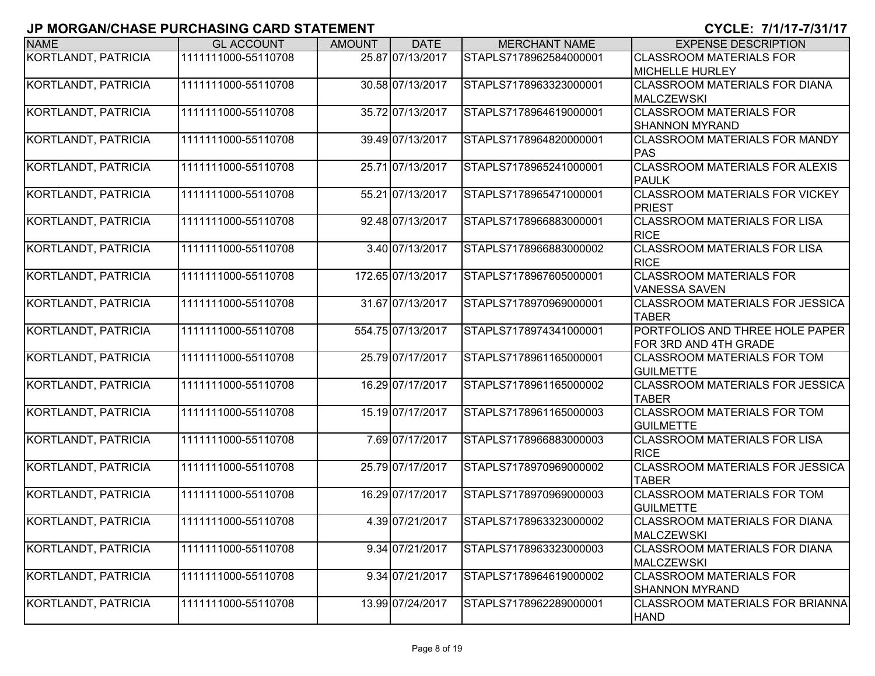| <b>NAME</b>                | <b>GL ACCOUNT</b>   | <b>AMOUNT</b> | <b>DATE</b>       | <b>MERCHANT NAME</b>   | <b>EXPENSE DESCRIPTION</b>                               |
|----------------------------|---------------------|---------------|-------------------|------------------------|----------------------------------------------------------|
| <b>KORTLANDT, PATRICIA</b> | 1111111000-55110708 |               | 25.87 07/13/2017  | STAPLS7178962584000001 | <b>CLASSROOM MATERIALS FOR</b><br><b>MICHELLE HURLEY</b> |
| KORTLANDT, PATRICIA        | 1111111000-55110708 |               | 30.58 07/13/2017  | STAPLS7178963323000001 | <b>CLASSROOM MATERIALS FOR DIANA</b><br>MALCZEWSKI       |
| KORTLANDT, PATRICIA        | 1111111000-55110708 |               | 35.72 07/13/2017  | STAPLS7178964619000001 | <b>CLASSROOM MATERIALS FOR</b><br><b>SHANNON MYRAND</b>  |
| KORTLANDT, PATRICIA        | 1111111000-55110708 |               | 39.49 07/13/2017  | STAPLS7178964820000001 | <b>CLASSROOM MATERIALS FOR MANDY</b><br>PAS              |
| KORTLANDT, PATRICIA        | 1111111000-55110708 |               | 25.71 07/13/2017  | STAPLS7178965241000001 | <b>CLASSROOM MATERIALS FOR ALEXIS</b><br><b>PAULK</b>    |
| KORTLANDT, PATRICIA        | 1111111000-55110708 |               | 55.21 07/13/2017  | STAPLS7178965471000001 | <b>CLASSROOM MATERIALS FOR VICKEY</b><br>PRIEST          |
| KORTLANDT, PATRICIA        | 1111111000-55110708 |               | 92.48 07/13/2017  | STAPLS7178966883000001 | <b>CLASSROOM MATERIALS FOR LISA</b><br><b>RICE</b>       |
| KORTLANDT, PATRICIA        | 1111111000-55110708 |               | 3.40 07/13/2017   | STAPLS7178966883000002 | <b>CLASSROOM MATERIALS FOR LISA</b><br><b>RICE</b>       |
| <b>KORTLANDT, PATRICIA</b> | 1111111000-55110708 |               | 172.65 07/13/2017 | STAPLS7178967605000001 | <b>CLASSROOM MATERIALS FOR</b><br><b>VANESSA SAVEN</b>   |
| <b>KORTLANDT, PATRICIA</b> | 1111111000-55110708 |               | 31.67 07/13/2017  | STAPLS7178970969000001 | <b>CLASSROOM MATERIALS FOR JESSICA</b><br><b>TABER</b>   |
| KORTLANDT, PATRICIA        | 1111111000-55110708 |               | 554.75 07/13/2017 | STAPLS7178974341000001 | PORTFOLIOS AND THREE HOLE PAPER<br>FOR 3RD AND 4TH GRADE |
| KORTLANDT, PATRICIA        | 1111111000-55110708 |               | 25.79 07/17/2017  | STAPLS7178961165000001 | <b>CLASSROOM MATERIALS FOR TOM</b><br><b>GUILMETTE</b>   |
| KORTLANDT, PATRICIA        | 1111111000-55110708 |               | 16.29 07/17/2017  | STAPLS7178961165000002 | CLASSROOM MATERIALS FOR JESSICA<br><b>TABER</b>          |
| KORTLANDT, PATRICIA        | 1111111000-55110708 |               | 15.19 07/17/2017  | STAPLS7178961165000003 | <b>CLASSROOM MATERIALS FOR TOM</b><br><b>GUILMETTE</b>   |
| KORTLANDT, PATRICIA        | 1111111000-55110708 |               | 7.69 07/17/2017   | STAPLS7178966883000003 | <b>CLASSROOM MATERIALS FOR LISA</b><br><b>RICE</b>       |
| KORTLANDT, PATRICIA        | 1111111000-55110708 |               | 25.79 07/17/2017  | STAPLS7178970969000002 | CLASSROOM MATERIALS FOR JESSICA<br><b>TABER</b>          |
| KORTLANDT, PATRICIA        | 1111111000-55110708 |               | 16.29 07/17/2017  | STAPLS7178970969000003 | <b>CLASSROOM MATERIALS FOR TOM</b><br><b>GUILMETTE</b>   |
| KORTLANDT, PATRICIA        | 1111111000-55110708 |               | 4.39 07/21/2017   | STAPLS7178963323000002 | <b>CLASSROOM MATERIALS FOR DIANA</b><br>MALCZEWSKI       |
| KORTLANDT, PATRICIA        | 1111111000-55110708 |               | 9.34 07/21/2017   | STAPLS7178963323000003 | <b>CLASSROOM MATERIALS FOR DIANA</b><br>MALCZEWSKI       |
| KORTLANDT, PATRICIA        | 1111111000-55110708 |               | 9.34 07/21/2017   | STAPLS7178964619000002 | <b>CLASSROOM MATERIALS FOR</b><br><b>SHANNON MYRAND</b>  |
| KORTLANDT, PATRICIA        | 1111111000-55110708 |               | 13.99 07/24/2017  | STAPLS7178962289000001 | <b>CLASSROOM MATERIALS FOR BRIANNA</b><br><b>HAND</b>    |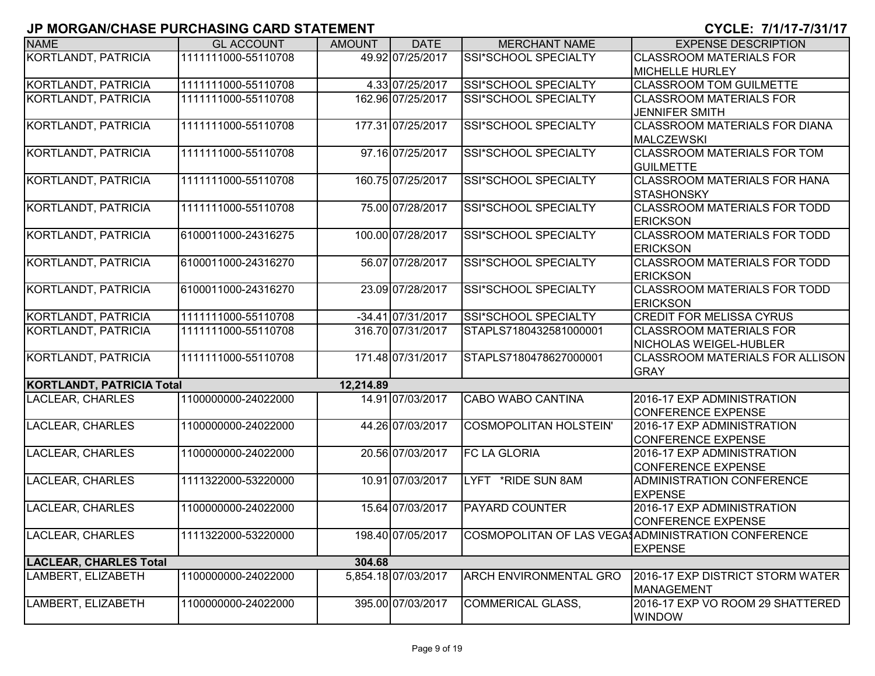| <b>NAME</b>                      | <b>GL ACCOUNT</b>   | <b>AMOUNT</b> | <b>DATE</b>         | <b>MERCHANT NAME</b>          | <b>EXPENSE DESCRIPTION</b>                             |
|----------------------------------|---------------------|---------------|---------------------|-------------------------------|--------------------------------------------------------|
| <b>KORTLANDT, PATRICIA</b>       | 1111111000-55110708 |               | 49.92 07/25/2017    | SSI*SCHOOL SPECIALTY          | <b>CLASSROOM MATERIALS FOR</b>                         |
|                                  |                     |               |                     |                               | <b>MICHELLE HURLEY</b>                                 |
| <b>KORTLANDT, PATRICIA</b>       | 1111111000-55110708 |               | 4.33 07/25/2017     | SSI*SCHOOL SPECIALTY          | <b>CLASSROOM TOM GUILMETTE</b>                         |
| KORTLANDT, PATRICIA              | 1111111000-55110708 |               | 162.96 07/25/2017   | SSI*SCHOOL SPECIALTY          | <b>CLASSROOM MATERIALS FOR</b>                         |
|                                  |                     |               |                     |                               | <b>JENNIFER SMITH</b>                                  |
| <b>KORTLANDT, PATRICIA</b>       | 1111111000-55110708 |               | 177.31 07/25/2017   | SSI*SCHOOL SPECIALTY          | <b>CLASSROOM MATERIALS FOR DIANA</b>                   |
|                                  |                     |               |                     |                               | <b>MALCZEWSKI</b>                                      |
| KORTLANDT, PATRICIA              | 1111111000-55110708 |               | 97.16 07/25/2017    | SSI*SCHOOL SPECIALTY          | <b>CLASSROOM MATERIALS FOR TOM</b>                     |
|                                  |                     |               |                     |                               | <b>GUILMETTE</b>                                       |
| KORTLANDT, PATRICIA              | 1111111000-55110708 |               | 160.75 07/25/2017   | SSI*SCHOOL SPECIALTY          | <b>CLASSROOM MATERIALS FOR HANA</b>                    |
|                                  |                     |               |                     |                               | <b>STASHONSKY</b>                                      |
| KORTLANDT, PATRICIA              | 1111111000-55110708 |               | 75.00 07/28/2017    | SSI*SCHOOL SPECIALTY          | <b>CLASSROOM MATERIALS FOR TODD</b>                    |
|                                  |                     |               |                     |                               | <b>ERICKSON</b>                                        |
| KORTLANDT, PATRICIA              | 6100011000-24316275 |               | 100.00 07/28/2017   | SSI*SCHOOL SPECIALTY          | <b>CLASSROOM MATERIALS FOR TODD</b>                    |
|                                  |                     |               |                     |                               | <b>ERICKSON</b>                                        |
| KORTLANDT, PATRICIA              | 6100011000-24316270 |               | 56.07 07/28/2017    | SSI*SCHOOL SPECIALTY          | <b>CLASSROOM MATERIALS FOR TODD</b><br><b>ERICKSON</b> |
| <b>KORTLANDT, PATRICIA</b>       | 6100011000-24316270 |               | 23.09 07/28/2017    | SSI*SCHOOL SPECIALTY          | <b>CLASSROOM MATERIALS FOR TODD</b>                    |
|                                  |                     |               |                     |                               | <b>ERICKSON</b>                                        |
| <b>KORTLANDT, PATRICIA</b>       | 1111111000-55110708 |               | $-34.41$ 07/31/2017 | SSI*SCHOOL SPECIALTY          | <b>CREDIT FOR MELISSA CYRUS</b>                        |
| KORTLANDT, PATRICIA              | 1111111000-55110708 |               | 316.70 07/31/2017   | STAPLS7180432581000001        | <b>CLASSROOM MATERIALS FOR</b>                         |
|                                  |                     |               |                     |                               | NICHOLAS WEIGEL-HUBLER                                 |
| KORTLANDT, PATRICIA              | 1111111000-55110708 |               | 171.48 07/31/2017   | STAPLS7180478627000001        | <b>CLASSROOM MATERIALS FOR ALLISON</b>                 |
|                                  |                     |               |                     |                               | <b>GRAY</b>                                            |
| <b>KORTLANDT, PATRICIA Total</b> |                     | 12,214.89     |                     |                               |                                                        |
| <b>LACLEAR, CHARLES</b>          | 1100000000-24022000 |               | 14.91 07/03/2017    | <b>CABO WABO CANTINA</b>      | 2016-17 EXP ADMINISTRATION                             |
|                                  |                     |               |                     |                               | <b>CONFERENCE EXPENSE</b>                              |
| <b>LACLEAR, CHARLES</b>          | 1100000000-24022000 |               | 44.26 07/03/2017    | <b>COSMOPOLITAN HOLSTEIN'</b> | 2016-17 EXP ADMINISTRATION                             |
|                                  |                     |               |                     |                               | <b>CONFERENCE EXPENSE</b>                              |
| <b>LACLEAR, CHARLES</b>          | 1100000000-24022000 |               | 20.56 07/03/2017    | <b>FC LA GLORIA</b>           | 2016-17 EXP ADMINISTRATION                             |
|                                  |                     |               |                     |                               | <b>CONFERENCE EXPENSE</b>                              |
| <b>LACLEAR, CHARLES</b>          | 1111322000-53220000 |               | 10.91 07/03/2017    | LYFT *RIDE SUN 8AM            | <b>ADMINISTRATION CONFERENCE</b>                       |
|                                  |                     |               |                     |                               | <b>EXPENSE</b>                                         |
| <b>LACLEAR, CHARLES</b>          | 1100000000-24022000 |               | 15.64 07/03/2017    | <b>PAYARD COUNTER</b>         | 2016-17 EXP ADMINISTRATION                             |
|                                  |                     |               |                     |                               | <b>CONFERENCE EXPENSE</b>                              |
| <b>LACLEAR, CHARLES</b>          | 1111322000-53220000 |               | 198.40 07/05/2017   |                               | COSMOPOLITAN OF LAS VEGA ADMINISTRATION CONFERENCE     |
|                                  |                     |               |                     |                               | <b>EXPENSE</b>                                         |
| <b>LACLEAR, CHARLES Total</b>    |                     | 304.68        |                     |                               |                                                        |
| LAMBERT, ELIZABETH               | 1100000000-24022000 |               | 5,854.18 07/03/2017 | <b>ARCH ENVIRONMENTAL GRO</b> | 2016-17 EXP DISTRICT STORM WATER                       |
|                                  |                     |               |                     |                               | <b>MANAGEMENT</b>                                      |
| LAMBERT, ELIZABETH               | 1100000000-24022000 |               | 395.00 07/03/2017   | <b>COMMERICAL GLASS,</b>      | 2016-17 EXP VO ROOM 29 SHATTERED                       |
|                                  |                     |               |                     |                               | <b>WINDOW</b>                                          |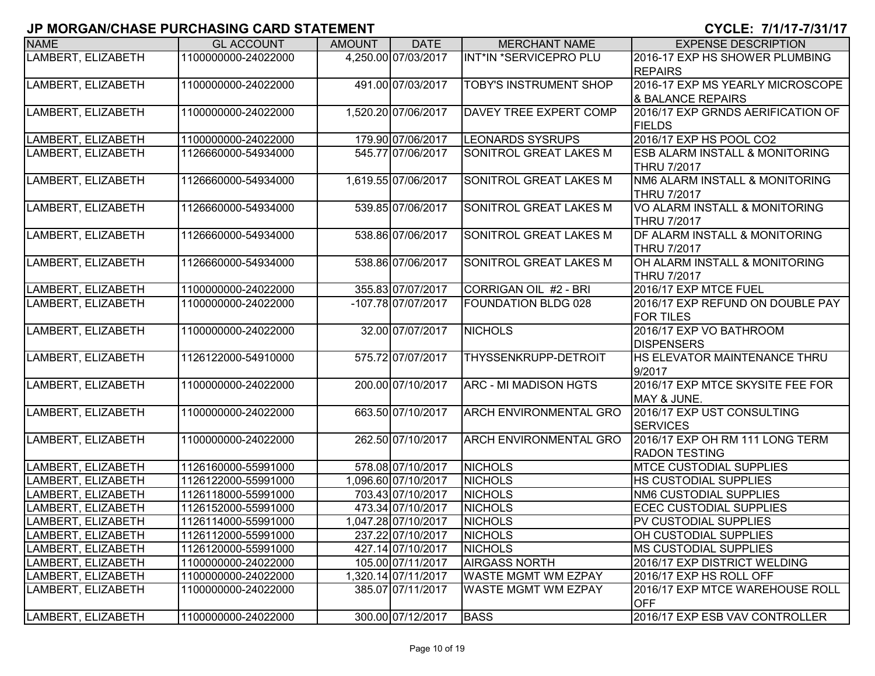| <b>NAME</b>        | <b>GL ACCOUNT</b>   | <b>AMOUNT</b> | <b>DATE</b>         | <b>MERCHANT NAME</b>          | <b>EXPENSE DESCRIPTION</b>                          |
|--------------------|---------------------|---------------|---------------------|-------------------------------|-----------------------------------------------------|
| LAMBERT, ELIZABETH | 1100000000-24022000 |               | 4,250.00 07/03/2017 | INT*IN *SERVICEPRO PLU        | 2016-17 EXP HS SHOWER PLUMBING                      |
|                    |                     |               |                     |                               | <b>REPAIRS</b>                                      |
| LAMBERT, ELIZABETH | 1100000000-24022000 |               | 491.00 07/03/2017   | <b>TOBY'S INSTRUMENT SHOP</b> | 2016-17 EXP MS YEARLY MICROSCOPE                    |
|                    |                     |               |                     |                               | & BALANCE REPAIRS                                   |
| LAMBERT, ELIZABETH | 1100000000-24022000 |               | 1,520.20 07/06/2017 | DAVEY TREE EXPERT COMP        | 2016/17 EXP GRNDS AERIFICATION OF                   |
|                    |                     |               |                     |                               | <b>FIELDS</b>                                       |
| LAMBERT, ELIZABETH | 1100000000-24022000 |               | 179.90 07/06/2017   | <b>LEONARDS SYSRUPS</b>       | 2016/17 EXP HS POOL CO2                             |
| LAMBERT, ELIZABETH | 1126660000-54934000 |               | 545.77 07/06/2017   | SONITROL GREAT LAKES M        | <b>ESB ALARM INSTALL &amp; MONITORING</b>           |
|                    |                     |               |                     |                               | <b>THRU 7/2017</b>                                  |
| LAMBERT, ELIZABETH | 1126660000-54934000 |               | 1,619.55 07/06/2017 | SONITROL GREAT LAKES M        | NM6 ALARM INSTALL & MONITORING                      |
|                    |                     |               |                     |                               | <b>THRU 7/2017</b>                                  |
| LAMBERT, ELIZABETH | 1126660000-54934000 |               | 539.85 07/06/2017   | SONITROL GREAT LAKES M        | VO ALARM INSTALL & MONITORING                       |
|                    |                     |               |                     |                               | <b>THRU 7/2017</b>                                  |
| LAMBERT, ELIZABETH | 1126660000-54934000 |               | 538.86 07/06/2017   | SONITROL GREAT LAKES M        | DF ALARM INSTALL & MONITORING<br><b>THRU 7/2017</b> |
| LAMBERT, ELIZABETH | 1126660000-54934000 |               | 538.86 07/06/2017   | SONITROL GREAT LAKES M        | OH ALARM INSTALL & MONITORING                       |
|                    |                     |               |                     |                               | <b>THRU 7/2017</b>                                  |
| LAMBERT, ELIZABETH | 1100000000-24022000 |               | 355.83 07/07/2017   | CORRIGAN OIL #2 - BRI         | 2016/17 EXP MTCE FUEL                               |
| LAMBERT, ELIZABETH | 1100000000-24022000 |               | -107.78 07/07/2017  | <b>FOUNDATION BLDG 028</b>    | 2016/17 EXP REFUND ON DOUBLE PAY                    |
|                    |                     |               |                     |                               | <b>FOR TILES</b>                                    |
| LAMBERT, ELIZABETH | 1100000000-24022000 |               | 32.00 07/07/2017    | <b>NICHOLS</b>                | 2016/17 EXP VO BATHROOM                             |
|                    |                     |               |                     |                               | <b>DISPENSERS</b>                                   |
| LAMBERT, ELIZABETH | 1126122000-54910000 |               | 575.72 07/07/2017   | THYSSENKRUPP-DETROIT          | HS ELEVATOR MAINTENANCE THRU                        |
|                    |                     |               |                     |                               | 9/2017                                              |
| LAMBERT, ELIZABETH | 1100000000-24022000 |               | 200.00 07/10/2017   | ARC - MI MADISON HGTS         | 2016/17 EXP MTCE SKYSITE FEE FOR                    |
|                    |                     |               |                     |                               | MAY & JUNE.                                         |
| LAMBERT, ELIZABETH | 1100000000-24022000 |               | 663.50 07/10/2017   | <b>ARCH ENVIRONMENTAL GRO</b> | 2016/17 EXP UST CONSULTING                          |
|                    |                     |               |                     |                               | <b>SERVICES</b>                                     |
| LAMBERT, ELIZABETH | 1100000000-24022000 |               | 262.50 07/10/2017   | <b>ARCH ENVIRONMENTAL GRO</b> | 2016/17 EXP OH RM 111 LONG TERM                     |
|                    |                     |               |                     |                               | <b>RADON TESTING</b>                                |
| LAMBERT, ELIZABETH | 1126160000-55991000 |               | 578.08 07/10/2017   | <b>NICHOLS</b>                | <b>MTCE CUSTODIAL SUPPLIES</b>                      |
| LAMBERT, ELIZABETH | 1126122000-55991000 |               | 1,096.60 07/10/2017 | <b>NICHOLS</b>                | HS CUSTODIAL SUPPLIES                               |
| LAMBERT, ELIZABETH | 1126118000-55991000 |               | 703.43 07/10/2017   | <b>NICHOLS</b>                | NM6 CUSTODIAL SUPPLIES                              |
| LAMBERT, ELIZABETH | 1126152000-55991000 |               | 473.34 07/10/2017   | <b>NICHOLS</b>                | <b>ECEC CUSTODIAL SUPPLIES</b>                      |
| LAMBERT, ELIZABETH | 1126114000-55991000 |               | 1,047.28 07/10/2017 | <b>NICHOLS</b>                | PV CUSTODIAL SUPPLIES                               |
| LAMBERT, ELIZABETH | 1126112000-55991000 |               | 237.22 07/10/2017   | <b>NICHOLS</b>                | OH CUSTODIAL SUPPLIES                               |
| LAMBERT, ELIZABETH | 1126120000-55991000 |               | 427.14 07/10/2017   | <b>NICHOLS</b>                | <b>MS CUSTODIAL SUPPLIES</b>                        |
| LAMBERT, ELIZABETH | 1100000000-24022000 |               | 105.00 07/11/2017   | <b>AIRGASS NORTH</b>          | 2016/17 EXP DISTRICT WELDING                        |
| LAMBERT, ELIZABETH | 1100000000-24022000 |               | 1,320.14 07/11/2017 | WASTE MGMT WM EZPAY           | 2016/17 EXP HS ROLL OFF                             |
| LAMBERT, ELIZABETH | 1100000000-24022000 |               | 385.07 07/11/2017   | <b>WASTE MGMT WM EZPAY</b>    | 2016/17 EXP MTCE WAREHOUSE ROLL<br><b>OFF</b>       |
| LAMBERT, ELIZABETH | 1100000000-24022000 |               | 300.00 07/12/2017   | <b>BASS</b>                   | 2016/17 EXP ESB VAV CONTROLLER                      |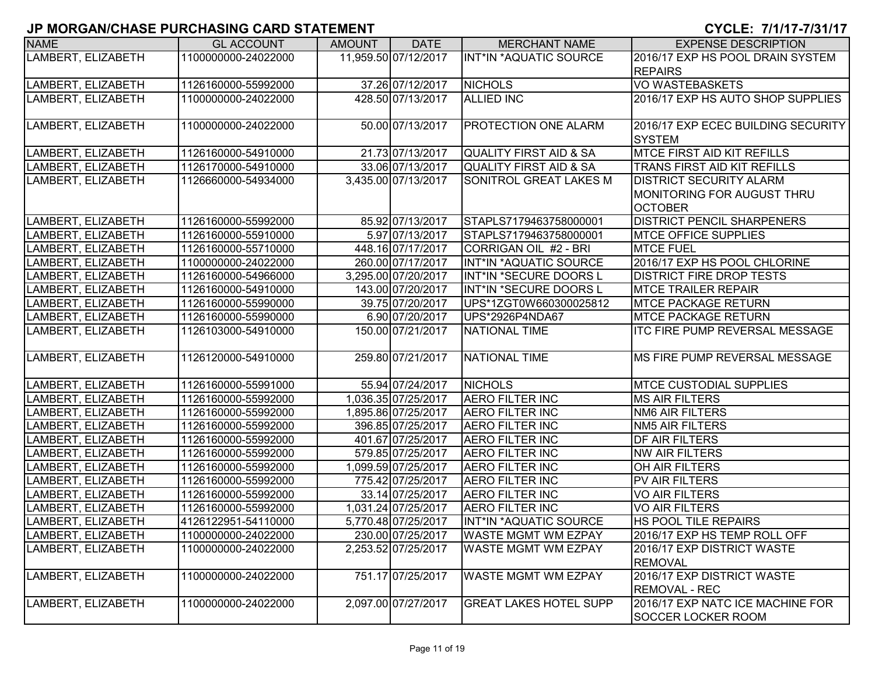| <b>NAME</b>        | <b>GL ACCOUNT</b>   | <b>AMOUNT</b> | <b>DATE</b>          | <b>MERCHANT NAME</b>              | <b>EXPENSE DESCRIPTION</b>            |
|--------------------|---------------------|---------------|----------------------|-----------------------------------|---------------------------------------|
| LAMBERT, ELIZABETH | 1100000000-24022000 |               | 11,959.50 07/12/2017 | <b>INT*IN *AQUATIC SOURCE</b>     | 2016/17 EXP HS POOL DRAIN SYSTEM      |
|                    |                     |               |                      |                                   | <b>REPAIRS</b>                        |
| LAMBERT, ELIZABETH | 1126160000-55992000 |               | 37.26 07/12/2017     | <b>NICHOLS</b>                    | <b>VO WASTEBASKETS</b>                |
| LAMBERT, ELIZABETH | 1100000000-24022000 |               | 428.50 07/13/2017    | <b>ALLIED INC</b>                 | 2016/17 EXP HS AUTO SHOP SUPPLIES     |
|                    |                     |               |                      |                                   |                                       |
| LAMBERT, ELIZABETH | 1100000000-24022000 |               | 50.00 07/13/2017     | PROTECTION ONE ALARM              | 2016/17 EXP ECEC BUILDING SECURITY    |
|                    |                     |               |                      |                                   | <b>SYSTEM</b>                         |
| LAMBERT, ELIZABETH | 1126160000-54910000 |               | 21.73 07/13/2017     | <b>QUALITY FIRST AID &amp; SA</b> | <b>MTCE FIRST AID KIT REFILLS</b>     |
| LAMBERT, ELIZABETH | 1126170000-54910000 |               | 33.06 07/13/2017     | <b>QUALITY FIRST AID &amp; SA</b> | TRANS FIRST AID KIT REFILLS           |
| LAMBERT, ELIZABETH | 1126660000-54934000 |               | 3,435.00 07/13/2017  | SONITROL GREAT LAKES M            | <b>DISTRICT SECURITY ALARM</b>        |
|                    |                     |               |                      |                                   | MONITORING FOR AUGUST THRU            |
|                    |                     |               |                      |                                   | <b>OCTOBER</b>                        |
| LAMBERT, ELIZABETH | 1126160000-55992000 |               | 85.92 07/13/2017     | STAPLS7179463758000001            | <b>DISTRICT PENCIL SHARPENERS</b>     |
| LAMBERT, ELIZABETH | 1126160000-55910000 |               | 5.97 07/13/2017      | STAPLS7179463758000001            | <b>MTCE OFFICE SUPPLIES</b>           |
| LAMBERT, ELIZABETH | 1126160000-55710000 |               | 448.16 07/17/2017    | CORRIGAN OIL #2 - BRI             | <b>MTCE FUEL</b>                      |
| LAMBERT, ELIZABETH | 1100000000-24022000 |               | 260.00 07/17/2017    | INT*IN *AQUATIC SOURCE            | 2016/17 EXP HS POOL CHLORINE          |
| LAMBERT, ELIZABETH | 1126160000-54966000 |               | 3,295.00 07/20/2017  | INT*IN *SECURE DOORS L            | <b>DISTRICT FIRE DROP TESTS</b>       |
| LAMBERT, ELIZABETH | 1126160000-54910000 |               | 143.00 07/20/2017    | INT*IN *SECURE DOORS L            | <b>MTCE TRAILER REPAIR</b>            |
| LAMBERT, ELIZABETH | 1126160000-55990000 |               | 39.75 07/20/2017     | UPS*1ZGT0W660300025812            | <b>MTCE PACKAGE RETURN</b>            |
| LAMBERT, ELIZABETH | 1126160000-55990000 |               | 6.90 07/20/2017      | UPS*2926P4NDA67                   | <b>MTCE PACKAGE RETURN</b>            |
| LAMBERT, ELIZABETH | 1126103000-54910000 |               | 150.00 07/21/2017    | <b>NATIONAL TIME</b>              | <b>ITC FIRE PUMP REVERSAL MESSAGE</b> |
|                    |                     |               |                      |                                   |                                       |
| LAMBERT, ELIZABETH | 1126120000-54910000 |               | 259.80 07/21/2017    | <b>NATIONAL TIME</b>              | MS FIRE PUMP REVERSAL MESSAGE         |
|                    |                     |               |                      |                                   |                                       |
| LAMBERT, ELIZABETH | 1126160000-55991000 |               | 55.94 07/24/2017     | <b>NICHOLS</b>                    | <b>MTCE CUSTODIAL SUPPLIES</b>        |
| LAMBERT, ELIZABETH | 1126160000-55992000 |               | 1,036.35 07/25/2017  | <b>AERO FILTER INC</b>            | <b>MS AIR FILTERS</b>                 |
| LAMBERT, ELIZABETH | 1126160000-55992000 |               | 1,895.86 07/25/2017  | <b>AERO FILTER INC</b>            | <b>NM6 AIR FILTERS</b>                |
| LAMBERT, ELIZABETH | 1126160000-55992000 |               | 396.85 07/25/2017    | <b>AERO FILTER INC</b>            | <b>NM5 AIR FILTERS</b>                |
| LAMBERT, ELIZABETH | 1126160000-55992000 |               | 401.67 07/25/2017    | <b>AERO FILTER INC</b>            | <b>DF AIR FILTERS</b>                 |
| LAMBERT, ELIZABETH | 1126160000-55992000 |               | 579.85 07/25/2017    | <b>AERO FILTER INC</b>            | <b>NW AIR FILTERS</b>                 |
| LAMBERT, ELIZABETH | 1126160000-55992000 |               | 1,099.59 07/25/2017  | <b>AERO FILTER INC</b>            | <b>OH AIR FILTERS</b>                 |
| LAMBERT, ELIZABETH | 1126160000-55992000 |               | 775.42 07/25/2017    | <b>AERO FILTER INC</b>            | PV AIR FILTERS                        |
| LAMBERT, ELIZABETH | 1126160000-55992000 |               | 33.14 07/25/2017     | <b>AERO FILTER INC</b>            | <b>VO AIR FILTERS</b>                 |
| LAMBERT, ELIZABETH | 1126160000-55992000 |               | 1,031.24 07/25/2017  | <b>AERO FILTER INC</b>            | <b>VO AIR FILTERS</b>                 |
| LAMBERT, ELIZABETH | 4126122951-54110000 |               | 5,770.48 07/25/2017  | INT*IN *AQUATIC SOURCE            | <b>HS POOL TILE REPAIRS</b>           |
| LAMBERT, ELIZABETH | 1100000000-24022000 |               | 230.00 07/25/2017    | <b>WASTE MGMT WM EZPAY</b>        | 2016/17 EXP HS TEMP ROLL OFF          |
| LAMBERT, ELIZABETH | 1100000000-24022000 |               | 2,253.52 07/25/2017  | <b>WASTE MGMT WM EZPAY</b>        | 2016/17 EXP DISTRICT WASTE            |
|                    |                     |               |                      |                                   | <b>REMOVAL</b>                        |
| LAMBERT, ELIZABETH | 1100000000-24022000 |               | 751.17 07/25/2017    | <b>WASTE MGMT WM EZPAY</b>        | 2016/17 EXP DISTRICT WASTE            |
|                    |                     |               |                      |                                   | <b>REMOVAL - REC</b>                  |
| LAMBERT, ELIZABETH | 1100000000-24022000 |               | 2,097.00 07/27/2017  | <b>GREAT LAKES HOTEL SUPP</b>     | 2016/17 EXP NATC ICE MACHINE FOR      |
|                    |                     |               |                      |                                   | <b>SOCCER LOCKER ROOM</b>             |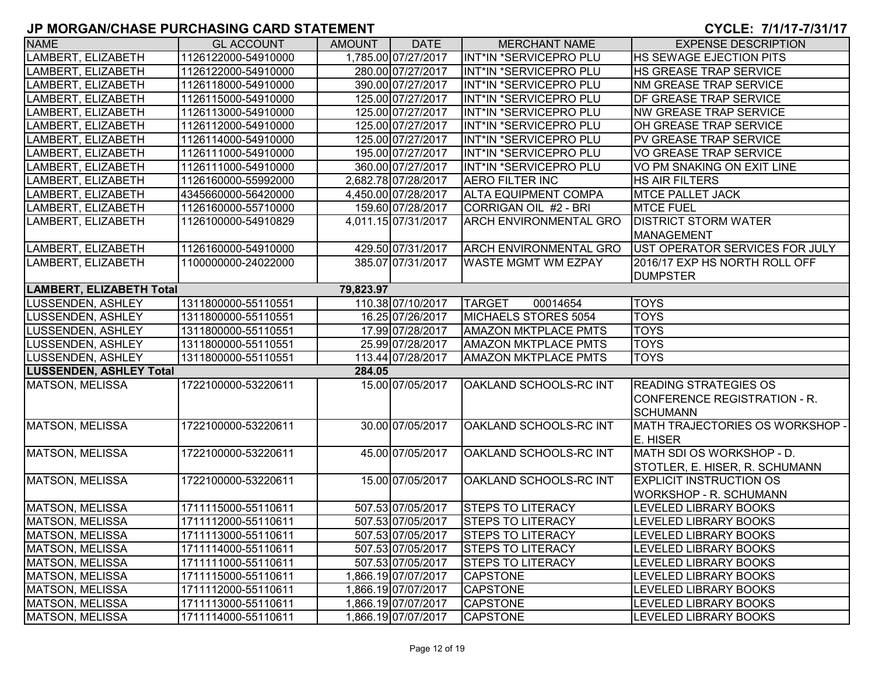| <b>NAME</b>                     | <b>GL ACCOUNT</b>   | <b>AMOUNT</b> | <b>DATE</b>         | <b>MERCHANT NAME</b>          | <b>EXPENSE DESCRIPTION</b>                                      |
|---------------------------------|---------------------|---------------|---------------------|-------------------------------|-----------------------------------------------------------------|
| LAMBERT, ELIZABETH              | 1126122000-54910000 |               | 1.785.00 07/27/2017 | INT*IN *SERVICEPRO PLU        | <b>HS SEWAGE EJECTION PITS</b>                                  |
| LAMBERT, ELIZABETH              | 1126122000-54910000 |               | 280.00 07/27/2017   | INT*IN *SERVICEPRO PLU        | <b>HS GREASE TRAP SERVICE</b>                                   |
| LAMBERT, ELIZABETH              | 1126118000-54910000 |               | 390.00 07/27/2017   | INT*IN *SERVICEPRO PLU        | <b>NM GREASE TRAP SERVICE</b>                                   |
| LAMBERT, ELIZABETH              | 1126115000-54910000 |               | 125.00 07/27/2017   | INT*IN *SERVICEPRO PLU        | <b>IDF GREASE TRAP SERVICE</b>                                  |
| LAMBERT, ELIZABETH              | 1126113000-54910000 |               | 125.00 07/27/2017   | INT*IN *SERVICEPRO PLU        | <b>NW GREASE TRAP SERVICE</b>                                   |
| LAMBERT, ELIZABETH              | 1126112000-54910000 |               | 125.00 07/27/2017   | INT*IN *SERVICEPRO PLU        | OH GREASE TRAP SERVICE                                          |
| LAMBERT, ELIZABETH              | 1126114000-54910000 |               | 125.00 07/27/2017   | INT*IN *SERVICEPRO PLU        | PV GREASE TRAP SERVICE                                          |
| LAMBERT, ELIZABETH              | 1126111000-54910000 |               | 195.00 07/27/2017   | INT*IN *SERVICEPRO PLU        | VO GREASE TRAP SERVICE                                          |
| LAMBERT, ELIZABETH              | 1126111000-54910000 |               | 360.00 07/27/2017   | INT*IN *SERVICEPRO PLU        | VO PM SNAKING ON EXIT LINE                                      |
| LAMBERT, ELIZABETH              | 1126160000-55992000 |               | 2,682.78 07/28/2017 | <b>AERO FILTER INC</b>        | HS AIR FILTERS                                                  |
| LAMBERT, ELIZABETH              | 4345660000-56420000 |               | 4,450.00 07/28/2017 | <b>ALTA EQUIPMENT COMPA</b>   | <b>MTCE PALLET JACK</b>                                         |
| LAMBERT, ELIZABETH              | 1126160000-55710000 |               | 159.60 07/28/2017   | CORRIGAN OIL #2 - BRI         | <b>MTCE FUEL</b>                                                |
| LAMBERT, ELIZABETH              | 1126100000-54910829 |               | 4,011.15 07/31/2017 | <b>ARCH ENVIRONMENTAL GRO</b> | <b>DISTRICT STORM WATER</b>                                     |
|                                 |                     |               |                     |                               | MANAGEMENT                                                      |
| LAMBERT, ELIZABETH              | 1126160000-54910000 |               | 429.50 07/31/2017   | <b>ARCH ENVIRONMENTAL GRO</b> | UST OPERATOR SERVICES FOR JULY                                  |
| LAMBERT, ELIZABETH              | 1100000000-24022000 |               | 385.07 07/31/2017   | <b>WASTE MGMT WM EZPAY</b>    | 2016/17 EXP HS NORTH ROLL OFF                                   |
|                                 |                     |               |                     |                               | <b>DUMPSTER</b>                                                 |
| <b>LAMBERT, ELIZABETH Total</b> |                     | 79,823.97     |                     |                               |                                                                 |
| <b>LUSSENDEN, ASHLEY</b>        | 1311800000-55110551 |               | 110.38 07/10/2017   | <b>TARGET</b><br>00014654     | <b>TOYS</b>                                                     |
| <b>LUSSENDEN, ASHLEY</b>        | 1311800000-55110551 |               | 16.25 07/26/2017    | MICHAELS STORES 5054          | <b>TOYS</b>                                                     |
| LUSSENDEN, ASHLEY               | 1311800000-55110551 |               | 17.99 07/28/2017    | <b>AMAZON MKTPLACE PMTS</b>   | <b>TOYS</b>                                                     |
| <b>LUSSENDEN, ASHLEY</b>        | 1311800000-55110551 |               | 25.99 07/28/2017    | <b>AMAZON MKTPLACE PMTS</b>   | <b>TOYS</b>                                                     |
| <b>LUSSENDEN, ASHLEY</b>        | 1311800000-55110551 |               | 113.44 07/28/2017   | <b>AMAZON MKTPLACE PMTS</b>   | <b>TOYS</b>                                                     |
| <b>LUSSENDEN, ASHLEY Total</b>  |                     | 284.05        |                     |                               |                                                                 |
| <b>MATSON, MELISSA</b>          | 1722100000-53220611 |               | 15.00 07/05/2017    | OAKLAND SCHOOLS-RC INT        | <b>READING STRATEGIES OS</b><br>CONFERENCE REGISTRATION - R.    |
|                                 |                     |               |                     |                               | <b>SCHUMANN</b>                                                 |
| <b>MATSON, MELISSA</b>          | 1722100000-53220611 |               | 30.00 07/05/2017    | OAKLAND SCHOOLS-RC INT        | MATH TRAJECTORIES OS WORKSHOP -<br>E. HISER                     |
| MATSON, MELISSA                 | 1722100000-53220611 |               | 45.00 07/05/2017    | OAKLAND SCHOOLS-RC INT        | MATH SDI OS WORKSHOP - D.                                       |
|                                 |                     |               |                     |                               | STOTLER, E. HISER, R. SCHUMANN                                  |
| <b>MATSON, MELISSA</b>          | 1722100000-53220611 |               | 15.00 07/05/2017    | OAKLAND SCHOOLS-RC INT        | <b>EXPLICIT INSTRUCTION OS</b><br><b>WORKSHOP - R. SCHUMANN</b> |
| MATSON, MELISSA                 | 1711115000-55110611 |               | 507.53 07/05/2017   | <b>STEPS TO LITERACY</b>      | LEVELED LIBRARY BOOKS                                           |
| <b>MATSON, MELISSA</b>          | 1711112000-55110611 |               | 507.53 07/05/2017   | <b>STEPS TO LITERACY</b>      | <b>LEVELED LIBRARY BOOKS</b>                                    |
| MATSON, MELISSA                 | 1711113000-55110611 |               | 507.53 07/05/2017   | <b>STEPS TO LITERACY</b>      | <b>LEVELED LIBRARY BOOKS</b>                                    |
| MATSON, MELISSA                 | 1711114000-55110611 |               | 507.53 07/05/2017   | <b>STEPS TO LITERACY</b>      | LEVELED LIBRARY BOOKS                                           |
| MATSON, MELISSA                 | 1711111000-55110611 |               | 507.53 07/05/2017   | <b>STEPS TO LITERACY</b>      | LEVELED LIBRARY BOOKS                                           |
| <b>MATSON, MELISSA</b>          | 1711115000-55110611 |               | 1,866.19 07/07/2017 | <b>CAPSTONE</b>               | LEVELED LIBRARY BOOKS                                           |
| MATSON, MELISSA                 | 1711112000-55110611 |               | 1,866.19 07/07/2017 | <b>CAPSTONE</b>               | LEVELED LIBRARY BOOKS                                           |
| MATSON, MELISSA                 | 1711113000-55110611 |               | 1,866.19 07/07/2017 | <b>CAPSTONE</b>               | LEVELED LIBRARY BOOKS                                           |
| MATSON, MELISSA                 | 1711114000-55110611 |               | 1,866.19 07/07/2017 | <b>CAPSTONE</b>               | LEVELED LIBRARY BOOKS                                           |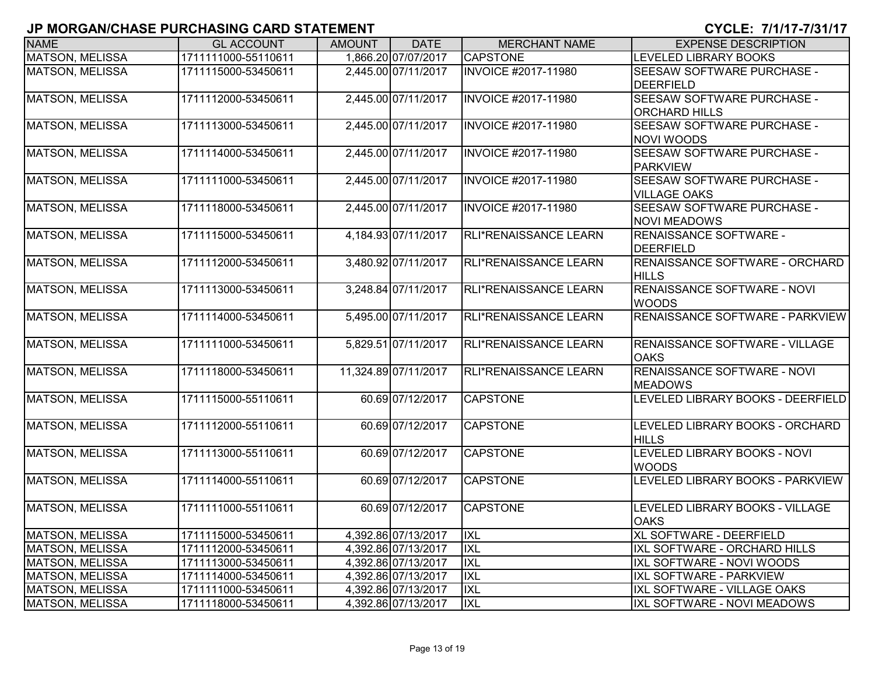| <b>NAME</b>            | <b>GL ACCOUNT</b>   | <b>AMOUNT</b> | <b>DATE</b>          | <b>MERCHANT NAME</b>         | <b>EXPENSE DESCRIPTION</b>                  |
|------------------------|---------------------|---------------|----------------------|------------------------------|---------------------------------------------|
| <b>MATSON, MELISSA</b> | 1711111000-55110611 |               | 1,866.20 07/07/2017  | <b>CAPSTONE</b>              | <b>LEVELED LIBRARY BOOKS</b>                |
| <b>MATSON, MELISSA</b> | 1711115000-53450611 |               | 2,445.00 07/11/2017  | <b>INVOICE #2017-11980</b>   | SEESAW SOFTWARE PURCHASE -                  |
|                        |                     |               |                      |                              | <b>DEERFIELD</b>                            |
| <b>MATSON, MELISSA</b> | 1711112000-53450611 |               | 2,445.00 07/11/2017  | <b>INVOICE #2017-11980</b>   | SEESAW SOFTWARE PURCHASE -                  |
|                        |                     |               |                      |                              | <b>ORCHARD HILLS</b>                        |
| <b>MATSON, MELISSA</b> | 1711113000-53450611 |               | 2,445.00 07/11/2017  | <b>INVOICE #2017-11980</b>   | SEESAW SOFTWARE PURCHASE -                  |
|                        |                     |               |                      |                              | <b>NOVI WOODS</b>                           |
| <b>MATSON, MELISSA</b> | 1711114000-53450611 |               | 2,445.00 07/11/2017  | <b>INVOICE #2017-11980</b>   | SEESAW SOFTWARE PURCHASE -                  |
|                        |                     |               |                      |                              | <b>PARKVIEW</b>                             |
| <b>MATSON, MELISSA</b> | 1711111000-53450611 |               | 2,445.00 07/11/2017  | <b>INVOICE #2017-11980</b>   | SEESAW SOFTWARE PURCHASE -                  |
|                        |                     |               |                      |                              | <b>VILLAGE OAKS</b>                         |
| <b>MATSON, MELISSA</b> | 1711118000-53450611 |               | 2,445.00 07/11/2017  | <b>INVOICE #2017-11980</b>   | SEESAW SOFTWARE PURCHASE -                  |
|                        |                     |               |                      |                              | <b>NOVI MEADOWS</b>                         |
| <b>MATSON, MELISSA</b> | 1711115000-53450611 |               | 4,184.93 07/11/2017  | RLI*RENAISSANCE LEARN        | RENAISSANCE SOFTWARE -                      |
|                        |                     |               |                      |                              | <b>DEERFIELD</b>                            |
| <b>MATSON, MELISSA</b> | 1711112000-53450611 |               | 3,480.92 07/11/2017  | RLI*RENAISSANCE LEARN        | <b>RENAISSANCE SOFTWARE - ORCHARD</b>       |
|                        | 1711113000-53450611 |               | 3,248.84 07/11/2017  | RLI*RENAISSANCE LEARN        | <b>HILLS</b><br>RENAISSANCE SOFTWARE - NOVI |
| <b>MATSON, MELISSA</b> |                     |               |                      |                              | <b>WOODS</b>                                |
| <b>MATSON, MELISSA</b> | 1711114000-53450611 |               | 5,495.00 07/11/2017  | RLI*RENAISSANCE LEARN        | RENAISSANCE SOFTWARE - PARKVIEW             |
|                        |                     |               |                      |                              |                                             |
| <b>MATSON, MELISSA</b> | 1711111000-53450611 |               | 5,829.51 07/11/2017  | <b>RLI*RENAISSANCE LEARN</b> | RENAISSANCE SOFTWARE - VILLAGE              |
|                        |                     |               |                      |                              | <b>OAKS</b>                                 |
| <b>MATSON, MELISSA</b> | 1711118000-53450611 |               | 11,324.89 07/11/2017 | RLI*RENAISSANCE LEARN        | RENAISSANCE SOFTWARE - NOVI                 |
|                        |                     |               |                      |                              | <b>MEADOWS</b>                              |
| <b>MATSON, MELISSA</b> | 1711115000-55110611 |               | 60.69 07/12/2017     | <b>CAPSTONE</b>              | LEVELED LIBRARY BOOKS - DEERFIELD           |
|                        |                     |               |                      |                              |                                             |
| <b>MATSON, MELISSA</b> | 1711112000-55110611 |               | 60.69 07/12/2017     | <b>CAPSTONE</b>              | LEVELED LIBRARY BOOKS - ORCHARD             |
|                        |                     |               |                      |                              | <b>HILLS</b>                                |
| <b>MATSON, MELISSA</b> | 1711113000-55110611 |               | 60.69 07/12/2017     | <b>CAPSTONE</b>              | LEVELED LIBRARY BOOKS - NOVI                |
|                        |                     |               |                      |                              | <b>WOODS</b>                                |
| <b>MATSON, MELISSA</b> | 1711114000-55110611 |               | 60.69 07/12/2017     | <b>CAPSTONE</b>              | LEVELED LIBRARY BOOKS - PARKVIEW            |
|                        |                     |               |                      |                              |                                             |
| <b>MATSON, MELISSA</b> | 1711111000-55110611 |               | 60.69 07/12/2017     | <b>CAPSTONE</b>              | LEVELED LIBRARY BOOKS - VILLAGE             |
|                        |                     |               |                      |                              | <b>OAKS</b>                                 |
| <b>MATSON, MELISSA</b> | 1711115000-53450611 |               | 4,392.86 07/13/2017  | <b>IXL</b>                   | XL SOFTWARE - DEERFIELD                     |
| <b>MATSON, MELISSA</b> | 1711112000-53450611 |               | 4,392.86 07/13/2017  | IXL                          | IXL SOFTWARE - ORCHARD HILLS                |
| MATSON, MELISSA        | 1711113000-53450611 |               | 4,392.86 07/13/2017  | IXL                          | IXL SOFTWARE - NOVI WOODS                   |
| <b>MATSON, MELISSA</b> | 1711114000-53450611 |               | 4,392.86 07/13/2017  | <b>IXL</b>                   | IXL SOFTWARE - PARKVIEW                     |
| MATSON, MELISSA        | 1711111000-53450611 |               | 4,392.86 07/13/2017  | IXL                          | IXL SOFTWARE - VILLAGE OAKS                 |
| MATSON, MELISSA        | 1711118000-53450611 |               | 4,392.86 07/13/2017  | <b>IXL</b>                   | IXL SOFTWARE - NOVI MEADOWS                 |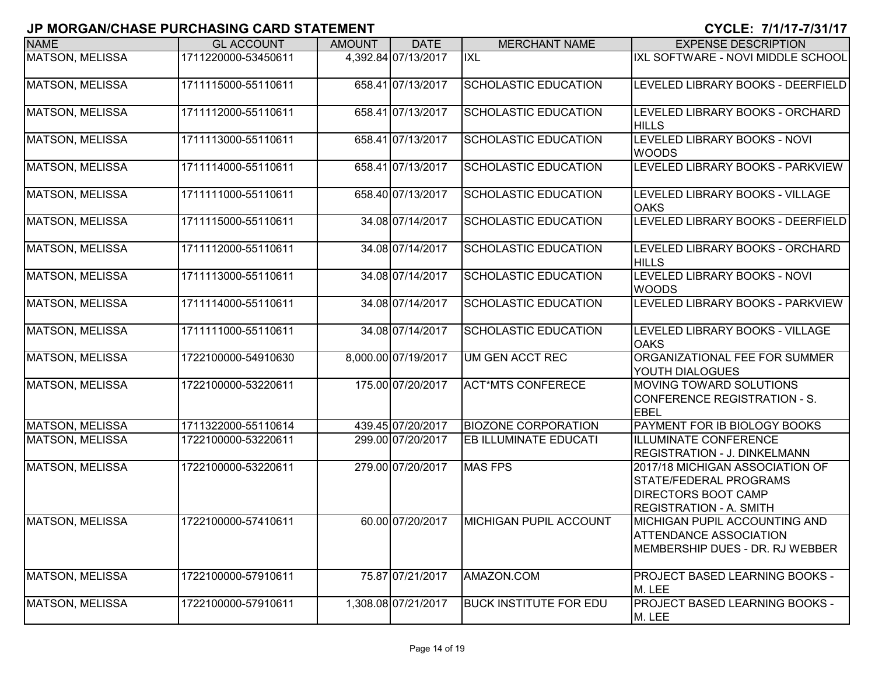| <b>NAME</b>            | <b>GL ACCOUNT</b>   | <b>AMOUNT</b> | <b>DATE</b>         | <b>MERCHANT NAME</b>          | <b>EXPENSE DESCRIPTION</b>                                                                                         |
|------------------------|---------------------|---------------|---------------------|-------------------------------|--------------------------------------------------------------------------------------------------------------------|
| <b>MATSON, MELISSA</b> | 1711220000-53450611 |               | 4,392.84 07/13/2017 | <b>IXL</b>                    | IXL SOFTWARE - NOVI MIDDLE SCHOOL                                                                                  |
| <b>MATSON, MELISSA</b> | 1711115000-55110611 |               | 658.41 07/13/2017   | <b>SCHOLASTIC EDUCATION</b>   | LEVELED LIBRARY BOOKS - DEERFIELD                                                                                  |
| <b>MATSON, MELISSA</b> | 1711112000-55110611 |               | 658.41 07/13/2017   | <b>SCHOLASTIC EDUCATION</b>   | LEVELED LIBRARY BOOKS - ORCHARD<br><b>HILLS</b>                                                                    |
| <b>MATSON, MELISSA</b> | 1711113000-55110611 |               | 658.41 07/13/2017   | <b>SCHOLASTIC EDUCATION</b>   | LEVELED LIBRARY BOOKS - NOVI<br><b>WOODS</b>                                                                       |
| <b>MATSON, MELISSA</b> | 1711114000-55110611 |               | 658.41 07/13/2017   | <b>SCHOLASTIC EDUCATION</b>   | LEVELED LIBRARY BOOKS - PARKVIEW                                                                                   |
| <b>MATSON, MELISSA</b> | 1711111000-55110611 |               | 658.40 07/13/2017   | SCHOLASTIC EDUCATION          | LEVELED LIBRARY BOOKS - VILLAGE<br><b>OAKS</b>                                                                     |
| <b>MATSON, MELISSA</b> | 1711115000-55110611 |               | 34.08 07/14/2017    | <b>SCHOLASTIC EDUCATION</b>   | LEVELED LIBRARY BOOKS - DEERFIELD                                                                                  |
| <b>MATSON, MELISSA</b> | 1711112000-55110611 |               | 34.08 07/14/2017    | <b>SCHOLASTIC EDUCATION</b>   | LEVELED LIBRARY BOOKS - ORCHARD<br><b>HILLS</b>                                                                    |
| <b>MATSON, MELISSA</b> | 1711113000-55110611 |               | 34.08 07/14/2017    | <b>SCHOLASTIC EDUCATION</b>   | LEVELED LIBRARY BOOKS - NOVI<br><b>WOODS</b>                                                                       |
| <b>MATSON, MELISSA</b> | 1711114000-55110611 |               | 34.08 07/14/2017    | <b>SCHOLASTIC EDUCATION</b>   | LEVELED LIBRARY BOOKS - PARKVIEW                                                                                   |
| <b>MATSON, MELISSA</b> | 1711111000-55110611 |               | 34.08 07/14/2017    | <b>SCHOLASTIC EDUCATION</b>   | LEVELED LIBRARY BOOKS - VILLAGE<br><b>OAKS</b>                                                                     |
| <b>MATSON, MELISSA</b> | 1722100000-54910630 |               | 8,000.00 07/19/2017 | UM GEN ACCT REC               | ORGANIZATIONAL FEE FOR SUMMER<br>YOUTH DIALOGUES                                                                   |
| <b>MATSON, MELISSA</b> | 1722100000-53220611 |               | 175.00 07/20/2017   | <b>ACT*MTS CONFERECE</b>      | <b>MOVING TOWARD SOLUTIONS</b><br>CONFERENCE REGISTRATION - S.<br><b>EBEL</b>                                      |
| MATSON, MELISSA        | 1711322000-55110614 |               | 439.45 07/20/2017   | <b>BIOZONE CORPORATION</b>    | PAYMENT FOR IB BIOLOGY BOOKS                                                                                       |
| <b>MATSON, MELISSA</b> | 1722100000-53220611 |               | 299.00 07/20/2017   | <b>EB ILLUMINATE EDUCATI</b>  | <b>ILLUMINATE CONFERENCE</b><br><b>REGISTRATION - J. DINKELMANN</b>                                                |
| <b>MATSON, MELISSA</b> | 1722100000-53220611 |               | 279.00 07/20/2017   | <b>MAS FPS</b>                | 2017/18 MICHIGAN ASSOCIATION OF<br>STATE/FEDERAL PROGRAMS<br>DIRECTORS BOOT CAMP<br><b>REGISTRATION - A. SMITH</b> |
| MATSON, MELISSA        | 1722100000-57410611 |               | 60.00 07/20/2017    | <b>MICHIGAN PUPIL ACCOUNT</b> | MICHIGAN PUPIL ACCOUNTING AND<br><b>ATTENDANCE ASSOCIATION</b><br>MEMBERSHIP DUES - DR. RJ WEBBER                  |
| <b>MATSON, MELISSA</b> | 1722100000-57910611 |               | 75.87 07/21/2017    | AMAZON.COM                    | PROJECT BASED LEARNING BOOKS -<br>M. LEE                                                                           |
| <b>MATSON, MELISSA</b> | 1722100000-57910611 |               | 1,308.08 07/21/2017 | <b>BUCK INSTITUTE FOR EDU</b> | PROJECT BASED LEARNING BOOKS -<br>M. LEE                                                                           |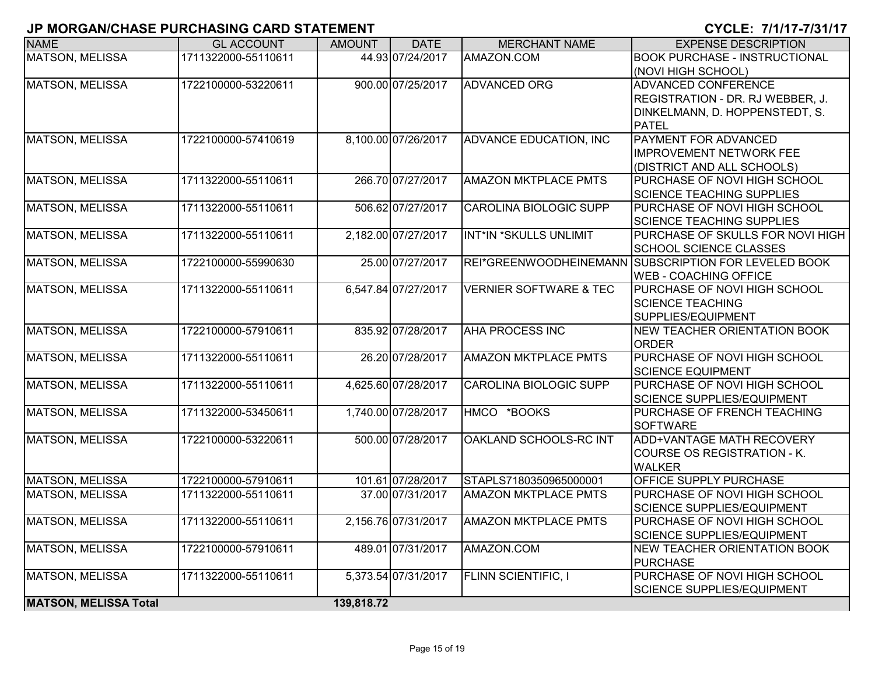| <b>NAME</b>                  | <b>GL ACCOUNT</b>   | <b>AMOUNT</b> | <b>DATE</b>         | <b>MERCHANT NAME</b>              | <b>EXPENSE DESCRIPTION</b>                                |
|------------------------------|---------------------|---------------|---------------------|-----------------------------------|-----------------------------------------------------------|
| <b>MATSON, MELISSA</b>       | 1711322000-55110611 |               | 44.93 07/24/2017    | AMAZON.COM                        | <b>BOOK PURCHASE - INSTRUCTIONAL</b>                      |
|                              |                     |               |                     |                                   | (NOVI HIGH SCHOOL)                                        |
| <b>MATSON, MELISSA</b>       | 1722100000-53220611 |               | 900.00 07/25/2017   | <b>ADVANCED ORG</b>               | <b>ADVANCED CONFERENCE</b>                                |
|                              |                     |               |                     |                                   | REGISTRATION - DR. RJ WEBBER, J.                          |
|                              |                     |               |                     |                                   | DINKELMANN, D. HOPPENSTEDT, S.                            |
|                              |                     |               |                     |                                   | <b>PATEL</b>                                              |
| <b>MATSON, MELISSA</b>       | 1722100000-57410619 |               | 8,100.00 07/26/2017 | ADVANCE EDUCATION, INC            | PAYMENT FOR ADVANCED                                      |
|                              |                     |               |                     |                                   | <b>IMPROVEMENT NETWORK FEE</b>                            |
|                              |                     |               |                     |                                   | (DISTRICT AND ALL SCHOOLS)                                |
| MATSON, MELISSA              | 1711322000-55110611 |               | 266.70 07/27/2017   | <b>AMAZON MKTPLACE PMTS</b>       | PURCHASE OF NOVI HIGH SCHOOL                              |
|                              |                     |               |                     |                                   | <b>SCIENCE TEACHING SUPPLIES</b>                          |
| <b>MATSON, MELISSA</b>       | 1711322000-55110611 |               | 506.62 07/27/2017   | CAROLINA BIOLOGIC SUPP            | PURCHASE OF NOVI HIGH SCHOOL                              |
|                              |                     |               |                     |                                   | <b>SCIENCE TEACHING SUPPLIES</b>                          |
| <b>MATSON, MELISSA</b>       | 1711322000-55110611 |               | 2,182.00 07/27/2017 | INT*IN *SKULLS UNLIMIT            | PURCHASE OF SKULLS FOR NOVI HIGH                          |
|                              |                     |               |                     |                                   | SCHOOL SCIENCE CLASSES                                    |
| <b>MATSON, MELISSA</b>       | 1722100000-55990630 |               | 25.00 07/27/2017    |                                   | REI*GREENWOODHEINEMANN SUBSCRIPTION FOR LEVELED BOOK      |
|                              |                     |               |                     |                                   | <b>WEB - COACHING OFFICE</b>                              |
| <b>MATSON, MELISSA</b>       | 1711322000-55110611 |               | 6,547.84 07/27/2017 | <b>VERNIER SOFTWARE &amp; TEC</b> | PURCHASE OF NOVI HIGH SCHOOL                              |
|                              |                     |               |                     |                                   | <b>SCIENCE TEACHING</b>                                   |
|                              |                     |               |                     |                                   | SUPPLIES/EQUIPMENT                                        |
| <b>MATSON, MELISSA</b>       | 1722100000-57910611 |               | 835.92 07/28/2017   | <b>AHA PROCESS INC</b>            | NEW TEACHER ORIENTATION BOOK                              |
|                              |                     |               |                     |                                   | <b>ORDER</b>                                              |
| <b>MATSON, MELISSA</b>       | 1711322000-55110611 |               | 26.20 07/28/2017    | <b>AMAZON MKTPLACE PMTS</b>       | PURCHASE OF NOVI HIGH SCHOOL                              |
|                              |                     |               |                     |                                   | <b>SCIENCE EQUIPMENT</b>                                  |
| <b>MATSON, MELISSA</b>       | 1711322000-55110611 |               | 4,625.60 07/28/2017 | <b>CAROLINA BIOLOGIC SUPP</b>     | PURCHASE OF NOVI HIGH SCHOOL                              |
| <b>MATSON, MELISSA</b>       | 1711322000-53450611 |               | 1,740.00 07/28/2017 | HMCO *BOOKS                       | SCIENCE SUPPLIES/EQUIPMENT<br>PURCHASE OF FRENCH TEACHING |
|                              |                     |               |                     |                                   | <b>SOFTWARE</b>                                           |
| <b>MATSON, MELISSA</b>       | 1722100000-53220611 |               | 500.00 07/28/2017   | OAKLAND SCHOOLS-RC INT            | <b>ADD+VANTAGE MATH RECOVERY</b>                          |
|                              |                     |               |                     |                                   | COURSE OS REGISTRATION - K.                               |
|                              |                     |               |                     |                                   | <b>WALKER</b>                                             |
| MATSON, MELISSA              | 1722100000-57910611 |               | 101.61 07/28/2017   | STAPLS7180350965000001            | OFFICE SUPPLY PURCHASE                                    |
| <b>MATSON, MELISSA</b>       | 1711322000-55110611 |               | 37.00 07/31/2017    | <b>AMAZON MKTPLACE PMTS</b>       | PURCHASE OF NOVI HIGH SCHOOL                              |
|                              |                     |               |                     |                                   | <b>SCIENCE SUPPLIES/EQUIPMENT</b>                         |
| <b>MATSON, MELISSA</b>       | 1711322000-55110611 |               | 2,156.76 07/31/2017 | <b>AMAZON MKTPLACE PMTS</b>       | PURCHASE OF NOVI HIGH SCHOOL                              |
|                              |                     |               |                     |                                   | SCIENCE SUPPLIES/EQUIPMENT                                |
| <b>MATSON, MELISSA</b>       | 1722100000-57910611 |               | 489.01 07/31/2017   | AMAZON.COM                        | NEW TEACHER ORIENTATION BOOK                              |
|                              |                     |               |                     |                                   | <b>PURCHASE</b>                                           |
| <b>MATSON, MELISSA</b>       | 1711322000-55110611 |               | 5,373.54 07/31/2017 | <b>FLINN SCIENTIFIC, I</b>        | PURCHASE OF NOVI HIGH SCHOOL                              |
|                              |                     |               |                     |                                   | <b>SCIENCE SUPPLIES/EQUIPMENT</b>                         |
| <b>MATSON, MELISSA Total</b> |                     | 139,818.72    |                     |                                   |                                                           |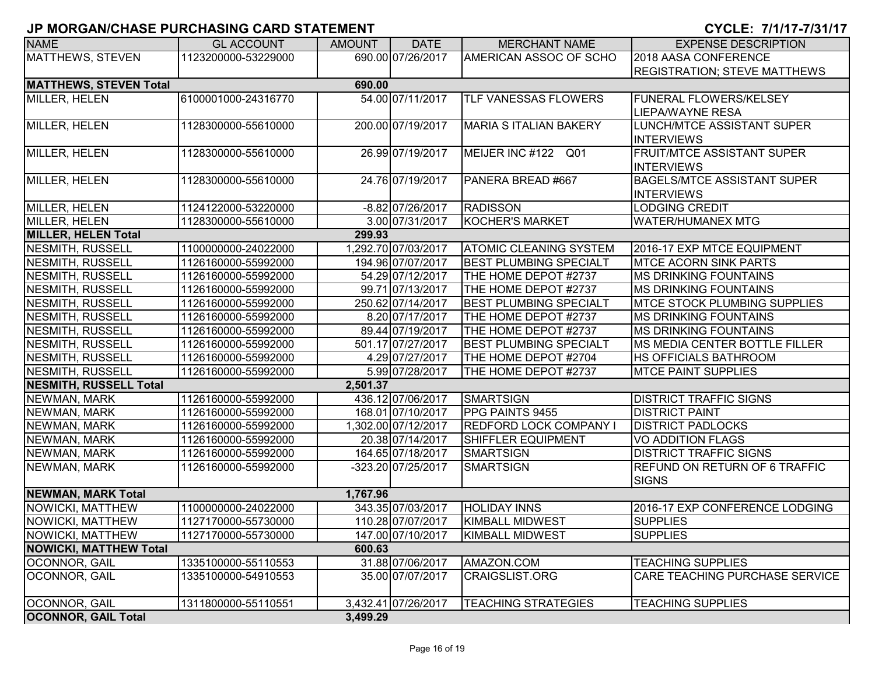| <b>NAME</b>                   | <b>GL ACCOUNT</b>   | <b>AMOUNT</b> | <b>DATE</b>         | <b>MERCHANT NAME</b>          | <b>EXPENSE DESCRIPTION</b>            |
|-------------------------------|---------------------|---------------|---------------------|-------------------------------|---------------------------------------|
| MATTHEWS, STEVEN              | 1123200000-53229000 |               | 690.00 07/26/2017   | AMERICAN ASSOC OF SCHO        | 2018 AASA CONFERENCE                  |
|                               |                     |               |                     |                               | <b>REGISTRATION; STEVE MATTHEWS</b>   |
| <b>MATTHEWS, STEVEN Total</b> |                     | 690.00        |                     |                               |                                       |
| MILLER, HELEN                 | 6100001000-24316770 |               | 54.00 07/11/2017    | <b>TLF VANESSAS FLOWERS</b>   | <b>FUNERAL FLOWERS/KELSEY</b>         |
|                               |                     |               |                     |                               | <b>LIEPA/WAYNE RESA</b>               |
| <b>MILLER, HELEN</b>          | 1128300000-55610000 |               | 200.00 07/19/2017   | <b>MARIA S ITALIAN BAKERY</b> | <b>LUNCH/MTCE ASSISTANT SUPER</b>     |
|                               |                     |               |                     |                               | <b>INTERVIEWS</b>                     |
| MILLER, HELEN                 | 1128300000-55610000 |               | 26.99 07/19/2017    | MEIJER INC #122 Q01           | <b>FRUIT/MTCE ASSISTANT SUPER</b>     |
|                               |                     |               |                     |                               | <b>INTERVIEWS</b>                     |
| MILLER, HELEN                 | 1128300000-55610000 |               | 24.76 07/19/2017    | PANERA BREAD #667             | BAGELS/MTCE ASSISTANT SUPER           |
|                               |                     |               |                     |                               | <b>INTERVIEWS</b>                     |
| MILLER, HELEN                 | 1124122000-53220000 |               | -8.82 07/26/2017    | <b>RADISSON</b>               | <b>LODGING CREDIT</b>                 |
| MILLER, HELEN                 | 1128300000-55610000 |               | 3.00 07/31/2017     | <b>KOCHER'S MARKET</b>        | <b>WATER/HUMANEX MTG</b>              |
| <b>MILLER, HELEN Total</b>    |                     | 299.93        |                     |                               |                                       |
| NESMITH, RUSSELL              | 1100000000-24022000 |               | 1,292.70 07/03/2017 | <b>ATOMIC CLEANING SYSTEM</b> | 2016-17 EXP MTCE EQUIPMENT            |
| NESMITH, RUSSELL              | 1126160000-55992000 |               | 194.96 07/07/2017   | <b>BEST PLUMBING SPECIALT</b> | <b>MTCE ACORN SINK PARTS</b>          |
| NESMITH, RUSSELL              | 1126160000-55992000 |               | 54.29 07/12/2017    | THE HOME DEPOT #2737          | <b>MS DRINKING FOUNTAINS</b>          |
| NESMITH, RUSSELL              | 1126160000-55992000 |               | 99.71 07/13/2017    | THE HOME DEPOT #2737          | <b>MS DRINKING FOUNTAINS</b>          |
| NESMITH, RUSSELL              | 1126160000-55992000 |               | 250.62 07/14/2017   | <b>BEST PLUMBING SPECIALT</b> | <b>IMTCE STOCK PLUMBING SUPPLIES</b>  |
| NESMITH, RUSSELL              | 1126160000-55992000 |               | 8.20 07/17/2017     | THE HOME DEPOT #2737          | <b>MS DRINKING FOUNTAINS</b>          |
| NESMITH, RUSSELL              | 1126160000-55992000 |               | 89.44 07/19/2017    | THE HOME DEPOT #2737          | <b>MS DRINKING FOUNTAINS</b>          |
| NESMITH, RUSSELL              | 1126160000-55992000 |               | 501.17 07/27/2017   | <b>BEST PLUMBING SPECIALT</b> | MS MEDIA CENTER BOTTLE FILLER         |
| NESMITH, RUSSELL              | 1126160000-55992000 |               | 4.29 07/27/2017     | THE HOME DEPOT #2704          | <b>HS OFFICIALS BATHROOM</b>          |
| NESMITH, RUSSELL              | 1126160000-55992000 |               | 5.99 07/28/2017     | THE HOME DEPOT #2737          | <b>MTCE PAINT SUPPLIES</b>            |
| <b>NESMITH, RUSSELL Total</b> |                     | 2,501.37      |                     |                               |                                       |
| NEWMAN, MARK                  | 1126160000-55992000 |               | 436.12 07/06/2017   | <b>SMARTSIGN</b>              | <b>DISTRICT TRAFFIC SIGNS</b>         |
| NEWMAN, MARK                  | 1126160000-55992000 |               | 168.01 07/10/2017   | PPG PAINTS 9455               | <b>DISTRICT PAINT</b>                 |
| NEWMAN, MARK                  | 1126160000-55992000 |               | 1,302.00 07/12/2017 | <b>REDFORD LOCK COMPANY I</b> | <b>DISTRICT PADLOCKS</b>              |
| NEWMAN, MARK                  | 1126160000-55992000 |               | 20.38 07/14/2017    | SHIFFLER EQUIPMENT            | <b>VO ADDITION FLAGS</b>              |
| NEWMAN, MARK                  | 1126160000-55992000 |               | 164.65 07/18/2017   | <b>SMARTSIGN</b>              | <b>DISTRICT TRAFFIC SIGNS</b>         |
| NEWMAN, MARK                  | 1126160000-55992000 |               | -323.20 07/25/2017  | <b>SMARTSIGN</b>              | <b>REFUND ON RETURN OF 6 TRAFFIC</b>  |
|                               |                     |               |                     |                               | <b>SIGNS</b>                          |
| <b>NEWMAN, MARK Total</b>     |                     | 1,767.96      |                     |                               |                                       |
| NOWICKI, MATTHEW              | 1100000000-24022000 |               | 343.35 07/03/2017   | <b>HOLIDAY INNS</b>           | 2016-17 EXP CONFERENCE LODGING        |
| NOWICKI, MATTHEW              | 1127170000-55730000 |               | 110.28 07/07/2017   | <b>KIMBALL MIDWEST</b>        | <b>SUPPLIES</b>                       |
| NOWICKI, MATTHEW              | 1127170000-55730000 |               | 147.00 07/10/2017   | <b>KIMBALL MIDWEST</b>        | <b>SUPPLIES</b>                       |
| <b>NOWICKI, MATTHEW Total</b> |                     | 600.63        |                     |                               |                                       |
| OCONNOR, GAIL                 | 1335100000-55110553 |               | 31.88 07/06/2017    | AMAZON.COM                    | <b>TEACHING SUPPLIES</b>              |
| <b>OCONNOR, GAIL</b>          | 1335100000-54910553 |               | 35.00 07/07/2017    | <b>CRAIGSLIST.ORG</b>         | <b>CARE TEACHING PURCHASE SERVICE</b> |
| OCONNOR, GAIL                 | 1311800000-55110551 |               | 3,432.41 07/26/2017 | <b>TEACHING STRATEGIES</b>    | <b>TEACHING SUPPLIES</b>              |
| <b>OCONNOR, GAIL Total</b>    |                     | 3,499.29      |                     |                               |                                       |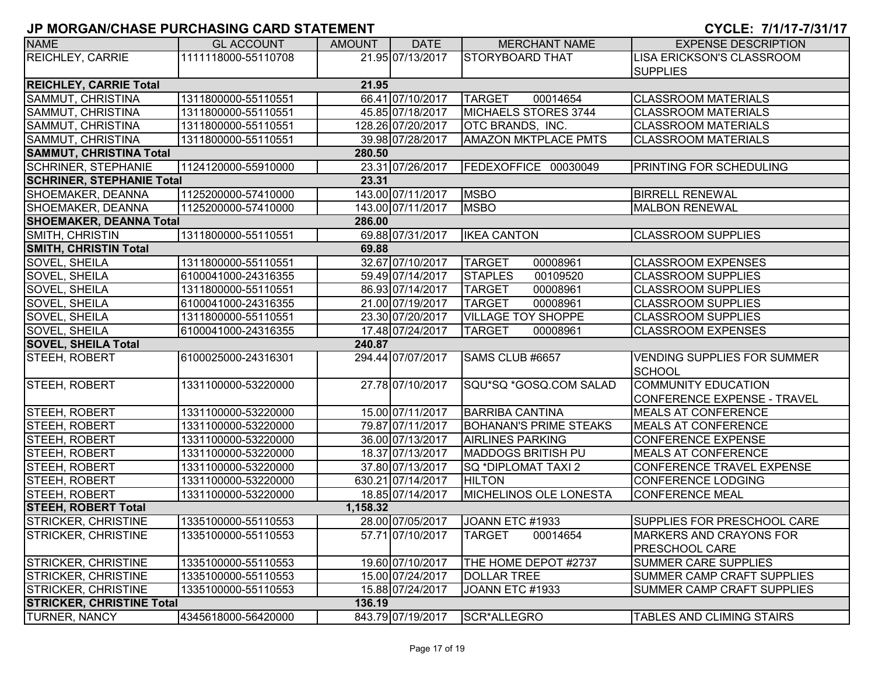| <b>NAME</b>                                | <b>GL ACCOUNT</b>   | <b>AMOUNT</b> | <b>DATE</b>       | <b>MERCHANT NAME</b>          | <b>EXPENSE DESCRIPTION</b>         |  |  |
|--------------------------------------------|---------------------|---------------|-------------------|-------------------------------|------------------------------------|--|--|
| <b>REICHLEY, CARRIE</b>                    | 1111118000-55110708 |               | 21.95 07/13/2017  | STORYBOARD THAT               | LISA ERICKSON'S CLASSROOM          |  |  |
|                                            |                     |               |                   |                               | <b>SUPPLIES</b>                    |  |  |
| <b>REICHLEY, CARRIE Total</b>              |                     | 21.95         |                   |                               |                                    |  |  |
| SAMMUT, CHRISTINA                          | 1311800000-55110551 |               | 66.41 07/10/2017  | <b>TARGET</b><br>00014654     | <b>CLASSROOM MATERIALS</b>         |  |  |
| SAMMUT, CHRISTINA                          | 1311800000-55110551 |               | 45.85 07/18/2017  | <b>MICHAELS STORES 3744</b>   | <b>CLASSROOM MATERIALS</b>         |  |  |
| SAMMUT, CHRISTINA                          | 1311800000-55110551 |               | 128.26 07/20/2017 | OTC BRANDS, INC.              | <b>CLASSROOM MATERIALS</b>         |  |  |
| SAMMUT, CHRISTINA                          | 1311800000-55110551 |               | 39.98 07/28/2017  | <b>AMAZON MKTPLACE PMTS</b>   | <b>CLASSROOM MATERIALS</b>         |  |  |
| <b>SAMMUT, CHRISTINA Total</b>             |                     | 280.50        |                   |                               |                                    |  |  |
| <b>SCHRINER, STEPHANIE</b>                 | 1124120000-55910000 |               | 23.31 07/26/2017  | FEDEXOFFICE 00030049          | <b>PRINTING FOR SCHEDULING</b>     |  |  |
| <b>SCHRINER, STEPHANIE Total</b>           |                     | 23.31         |                   |                               |                                    |  |  |
| SHOEMAKER, DEANNA                          | 1125200000-57410000 |               | 143.00 07/11/2017 | <b>MSBO</b>                   | <b>BIRRELL RENEWAL</b>             |  |  |
| SHOEMAKER, DEANNA                          | 1125200000-57410000 |               | 143.00 07/11/2017 | <b>MSBO</b>                   | <b>MALBON RENEWAL</b>              |  |  |
| <b>SHOEMAKER, DEANNA Total</b>             |                     | 286.00        |                   |                               |                                    |  |  |
| <b>SMITH, CHRISTIN</b>                     | 1311800000-55110551 |               | 69.88 07/31/2017  | <b>IKEA CANTON</b>            | <b>CLASSROOM SUPPLIES</b>          |  |  |
| <b>SMITH, CHRISTIN Total</b>               |                     | 69.88         |                   |                               |                                    |  |  |
| SOVEL, SHEILA                              | 1311800000-55110551 |               | 32.67 07/10/2017  | <b>TARGET</b><br>00008961     | <b>CLASSROOM EXPENSES</b>          |  |  |
| SOVEL, SHEILA                              | 6100041000-24316355 |               | 59.49 07/14/2017  | <b>STAPLES</b><br>00109520    | <b>CLASSROOM SUPPLIES</b>          |  |  |
| SOVEL, SHEILA                              | 1311800000-55110551 |               | 86.93 07/14/2017  | <b>TARGET</b><br>00008961     | <b>CLASSROOM SUPPLIES</b>          |  |  |
| <b>SOVEL, SHEILA</b>                       | 6100041000-24316355 |               | 21.00 07/19/2017  | <b>TARGET</b><br>00008961     | <b>CLASSROOM SUPPLIES</b>          |  |  |
| <b>SOVEL, SHEILA</b>                       | 1311800000-55110551 |               | 23.30 07/20/2017  | <b>VILLAGE TOY SHOPPE</b>     | <b>CLASSROOM SUPPLIES</b>          |  |  |
| <b>SOVEL, SHEILA</b>                       | 6100041000-24316355 |               | 17.48 07/24/2017  | <b>TARGET</b><br>00008961     | <b>CLASSROOM EXPENSES</b>          |  |  |
| <b>SOVEL, SHEILA Total</b><br>240.87       |                     |               |                   |                               |                                    |  |  |
| <b>STEEH, ROBERT</b>                       | 6100025000-24316301 |               | 294.44 07/07/2017 | SAMS CLUB #6657               | <b>VENDING SUPPLIES FOR SUMMER</b> |  |  |
|                                            |                     |               |                   |                               | <b>SCHOOL</b>                      |  |  |
| STEEH, ROBERT                              | 1331100000-53220000 |               | 27.78 07/10/2017  | SQU*SQ *GOSQ.COM SALAD        | <b>COMMUNITY EDUCATION</b>         |  |  |
|                                            |                     |               |                   |                               | CONFERENCE EXPENSE - TRAVEL        |  |  |
| STEEH, ROBERT                              | 1331100000-53220000 |               | 15.00 07/11/2017  | <b>BARRIBA CANTINA</b>        | <b>MEALS AT CONFERENCE</b>         |  |  |
| STEEH, ROBERT                              | 1331100000-53220000 |               | 79.87 07/11/2017  | <b>BOHANAN'S PRIME STEAKS</b> | <b>MEALS AT CONFERENCE</b>         |  |  |
| STEEH, ROBERT                              | 1331100000-53220000 |               | 36.00 07/13/2017  | <b>AIRLINES PARKING</b>       | <b>CONFERENCE EXPENSE</b>          |  |  |
| STEEH, ROBERT                              | 1331100000-53220000 |               | 18.37 07/13/2017  | <b>MADDOGS BRITISH PU</b>     | <b>MEALS AT CONFERENCE</b>         |  |  |
| STEEH, ROBERT                              | 1331100000-53220000 |               | 37.80 07/13/2017  | SQ *DIPLOMAT TAXI 2           | CONFERENCE TRAVEL EXPENSE          |  |  |
| STEEH, ROBERT                              | 1331100000-53220000 |               | 630.21 07/14/2017 | <b>HILTON</b>                 | <b>CONFERENCE LODGING</b>          |  |  |
| STEEH, ROBERT                              | 1331100000-53220000 |               | 18.85 07/14/2017  | MICHELINOS OLE LONESTA        | <b>CONFERENCE MEAL</b>             |  |  |
| <b>STEEH, ROBERT Total</b><br>1,158.32     |                     |               |                   |                               |                                    |  |  |
| <b>STRICKER, CHRISTINE</b>                 | 1335100000-55110553 |               | 28.00 07/05/2017  | JOANN ETC #1933               | <b>SUPPLIES FOR PRESCHOOL CARE</b> |  |  |
| <b>STRICKER, CHRISTINE</b>                 | 1335100000-55110553 |               | 57.71 07/10/2017  | <b>TARGET</b><br>00014654     | MARKERS AND CRAYONS FOR            |  |  |
|                                            |                     |               |                   |                               | <b>PRESCHOOL CARE</b>              |  |  |
| STRICKER, CHRISTINE                        | 1335100000-55110553 |               | 19.60 07/10/2017  | THE HOME DEPOT #2737          | <b>SUMMER CARE SUPPLIES</b>        |  |  |
| <b>STRICKER, CHRISTINE</b>                 | 1335100000-55110553 |               | 15.00 07/24/2017  | <b>DOLLAR TREE</b>            | SUMMER CAMP CRAFT SUPPLIES         |  |  |
| STRICKER, CHRISTINE                        | 1335100000-55110553 |               | 15.88 07/24/2017  | JOANN ETC #1933               | <b>SUMMER CAMP CRAFT SUPPLIES</b>  |  |  |
| <b>STRICKER, CHRISTINE Total</b><br>136.19 |                     |               |                   |                               |                                    |  |  |
| <b>TURNER, NANCY</b>                       | 4345618000-56420000 |               | 843.79 07/19/2017 | SCR*ALLEGRO                   | TABLES AND CLIMING STAIRS          |  |  |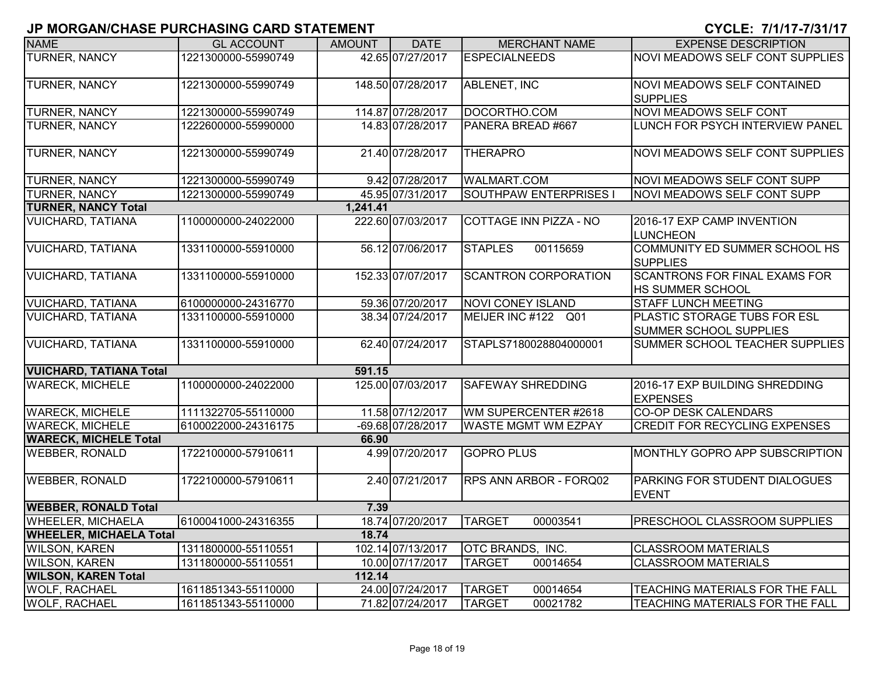| <b>NAME</b>                    | <b>GL ACCOUNT</b>   | <b>AMOUNT</b> | <b>DATE</b>       | <b>MERCHANT NAME</b>          | <b>EXPENSE DESCRIPTION</b>                               |
|--------------------------------|---------------------|---------------|-------------------|-------------------------------|----------------------------------------------------------|
| <b>TURNER, NANCY</b>           | 1221300000-55990749 |               | 42.65 07/27/2017  | <b>ESPECIALNEEDS</b>          | NOVI MEADOWS SELF CONT SUPPLIES                          |
| <b>TURNER, NANCY</b>           | 1221300000-55990749 |               | 148.50 07/28/2017 | ABLENET, INC                  | NOVI MEADOWS SELF CONTAINED<br><b>SUPPLIES</b>           |
| TURNER, NANCY                  | 1221300000-55990749 |               | 114.87 07/28/2017 | DOCORTHO.COM                  | <b>NOVI MEADOWS SELF CONT</b>                            |
| <b>TURNER, NANCY</b>           | 1222600000-55990000 |               | 14.83 07/28/2017  | PANERA BREAD #667             | LUNCH FOR PSYCH INTERVIEW PANEL                          |
| <b>TURNER, NANCY</b>           | 1221300000-55990749 |               | 21.40 07/28/2017  | <b>THERAPRO</b>               | NOVI MEADOWS SELF CONT SUPPLIES                          |
| TURNER, NANCY                  | 1221300000-55990749 |               | 9.42 07/28/2017   | <b>WALMART.COM</b>            | NOVI MEADOWS SELF CONT SUPP                              |
| <b>TURNER, NANCY</b>           | 1221300000-55990749 |               | 45.95 07/31/2017  | <b>SOUTHPAW ENTERPRISES I</b> | NOVI MEADOWS SELF CONT SUPP                              |
| <b>TURNER, NANCY Total</b>     |                     | 1,241.41      |                   |                               |                                                          |
| <b>VUICHARD, TATIANA</b>       | 1100000000-24022000 |               | 222.60 07/03/2017 | COTTAGE INN PIZZA - NO        | 2016-17 EXP CAMP INVENTION<br><b>LUNCHEON</b>            |
| <b>VUICHARD, TATIANA</b>       | 1331100000-55910000 |               | 56.12 07/06/2017  | <b>STAPLES</b><br>00115659    | COMMUNITY ED SUMMER SCHOOL HS<br><b>SUPPLIES</b>         |
| <b>VUICHARD, TATIANA</b>       | 1331100000-55910000 |               | 152.33 07/07/2017 | <b>SCANTRON CORPORATION</b>   | <b>SCANTRONS FOR FINAL EXAMS FOR</b><br>HS SUMMER SCHOOL |
| <b>VUICHARD, TATIANA</b>       | 6100000000-24316770 |               | 59.36 07/20/2017  | <b>NOVI CONEY ISLAND</b>      | <b>STAFF LUNCH MEETING</b>                               |
| <b>VUICHARD, TATIANA</b>       | 1331100000-55910000 |               | 38.34 07/24/2017  | MEIJER INC #122 Q01           | PLASTIC STORAGE TUBS FOR ESL<br>SUMMER SCHOOL SUPPLIES   |
| <b>VUICHARD, TATIANA</b>       | 1331100000-55910000 |               | 62.40 07/24/2017  | STAPLS7180028804000001        | SUMMER SCHOOL TEACHER SUPPLIES                           |
| <b>VUICHARD, TATIANA Total</b> |                     | 591.15        |                   |                               |                                                          |
| <b>WARECK, MICHELE</b>         | 1100000000-24022000 |               | 125.00 07/03/2017 | <b>SAFEWAY SHREDDING</b>      | 2016-17 EXP BUILDING SHREDDING<br><b>EXPENSES</b>        |
| <b>WARECK, MICHELE</b>         | 1111322705-55110000 |               | 11.58 07/12/2017  | WM SUPERCENTER #2618          | <b>CO-OP DESK CALENDARS</b>                              |
| <b>WARECK, MICHELE</b>         | 6100022000-24316175 |               | -69.68 07/28/2017 | <b>WASTE MGMT WM EZPAY</b>    | <b>CREDIT FOR RECYCLING EXPENSES</b>                     |
| <b>WARECK, MICHELE Total</b>   |                     | 66.90         |                   |                               |                                                          |
| <b>WEBBER, RONALD</b>          | 1722100000-57910611 |               | 4.99 07/20/2017   | <b>GOPRO PLUS</b>             | MONTHLY GOPRO APP SUBSCRIPTION                           |
| <b>WEBBER, RONALD</b>          | 1722100000-57910611 |               | 2.40 07/21/2017   | RPS ANN ARBOR - FORQ02        | PARKING FOR STUDENT DIALOGUES<br><b>EVENT</b>            |
| <b>WEBBER, RONALD Total</b>    |                     | 7.39          |                   |                               |                                                          |
| <b>WHEELER, MICHAELA</b>       | 6100041000-24316355 |               | 18.74 07/20/2017  | <b>TARGET</b><br>00003541     | PRESCHOOL CLASSROOM SUPPLIES                             |
| <b>WHEELER, MICHAELA Total</b> |                     | 18.74         |                   |                               |                                                          |
| <b>WILSON, KAREN</b>           | 1311800000-55110551 |               | 102.14 07/13/2017 | OTC BRANDS, INC.              | <b>CLASSROOM MATERIALS</b>                               |
| <b>WILSON, KAREN</b>           | 1311800000-55110551 |               | 10.00 07/17/2017  | <b>TARGET</b><br>00014654     | <b>CLASSROOM MATERIALS</b>                               |
| <b>WILSON, KAREN Total</b>     |                     | 112.14        |                   |                               |                                                          |
| <b>WOLF, RACHAEL</b>           | 1611851343-55110000 |               | 24.00 07/24/2017  | <b>TARGET</b><br>00014654     | TEACHING MATERIALS FOR THE FALL                          |
| <b>WOLF, RACHAEL</b>           | 1611851343-55110000 |               | 71.82 07/24/2017  | <b>TARGET</b><br>00021782     | TEACHING MATERIALS FOR THE FALL                          |